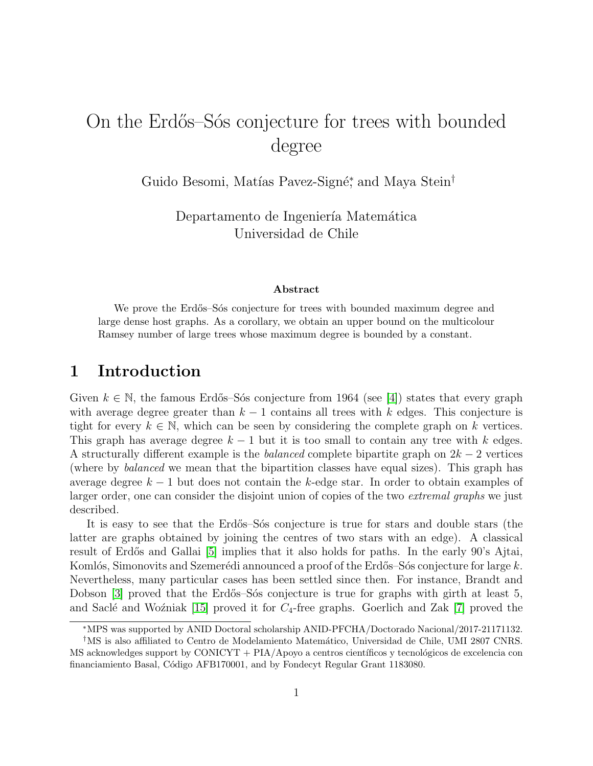# On the Erdős–Sós conjecture for trees with bounded degree

Guido Besomi, Matías Pavez-Signé<sup>\*</sup>, and Maya Stein<sup>†</sup>

Departamento de Ingeniería Matemática Universidad de Chile

#### Abstract

We prove the Erdős–S $\acute{\text{o}}$ s conjecture for trees with bounded maximum degree and large dense host graphs. As a corollary, we obtain an upper bound on the multicolour Ramsey number of large trees whose maximum degree is bounded by a constant.

# 1 Introduction

Given  $k \in \mathbb{N}$ , the famous Erdős–Sós conjecture from 1964 (see [\[4\]](#page-21-0)) states that every graph with average degree greater than  $k - 1$  contains all trees with k edges. This conjecture is tight for every  $k \in \mathbb{N}$ , which can be seen by considering the complete graph on k vertices. This graph has average degree  $k - 1$  but it is too small to contain any tree with k edges. A structurally different example is the *balanced* complete bipartite graph on  $2k - 2$  vertices (where by balanced we mean that the bipartition classes have equal sizes). This graph has average degree  $k-1$  but does not contain the k-edge star. In order to obtain examples of larger order, one can consider the disjoint union of copies of the two *extremal graphs* we just described.

It is easy to see that the Erdős–Sós conjecture is true for stars and double stars (the latter are graphs obtained by joining the centres of two stars with an edge). A classical result of Erdős and Gallai [\[5\]](#page-21-1) implies that it also holds for paths. In the early 90's Ajtai, Komlós, Simonovits and Szemerédi announced a proof of the Erdős–Sós conjecture for large k. Nevertheless, many particular cases has been settled since then. For instance, Brandt and Dobson [\[3\]](#page-21-2) proved that the Erdős–Sós conjecture is true for graphs with girth at least 5, and Saclé and Woźniak [\[15\]](#page-22-0) proved it for  $C_4$ -free graphs. Goerlich and Zak [\[7\]](#page-21-3) proved the

<sup>∗</sup>MPS was supported by ANID Doctoral scholarship ANID-PFCHA/Doctorado Nacional/2017-21171132.

<sup>&</sup>lt;sup>†</sup>MS is also affiliated to Centro de Modelamiento Matemático, Universidad de Chile, UMI 2807 CNRS.  $\overline{MS}$  acknowledges support by CONICYT + PIA/Apoyo a centros científicos y tecnológicos de excelencia con financiamiento Basal, Código AFB170001, and by Fondecyt Regular Grant 1183080.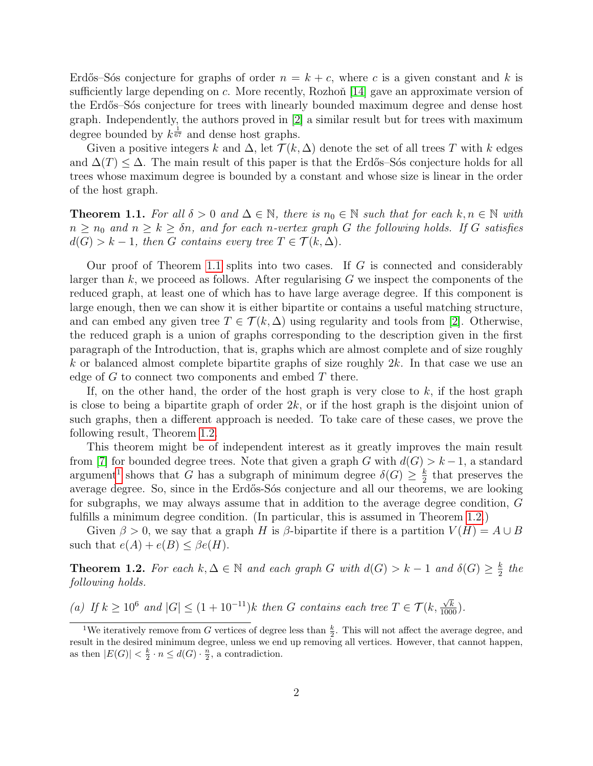Erdős–Sós conjecture for graphs of order  $n = k + c$ , where c is a given constant and k is sufficiently large depending on c. More recently, Rozhoň  $|14|$  gave an approximate version of the Erdős–Sós conjecture for trees with linearly bounded maximum degree and dense host graph. Independently, the authors proved in [\[2\]](#page-21-4) a similar result but for trees with maximum degree bounded by  $k^{\frac{1}{67}}$  and dense host graphs.

Given a positive integers k and  $\Delta$ , let  $\mathcal{T}(k,\Delta)$  denote the set of all trees T with k edges and  $\Delta(T) \leq \Delta$ . The main result of this paper is that the Erdős–Sós conjecture holds for all trees whose maximum degree is bounded by a constant and whose size is linear in the order of the host graph.

<span id="page-1-0"></span>**Theorem 1.1.** For all  $\delta > 0$  and  $\Delta \in \mathbb{N}$ , there is  $n_0 \in \mathbb{N}$  such that for each  $k, n \in \mathbb{N}$  with  $n \geq n_0$  and  $n \geq k \geq \delta n$ , and for each n-vertex graph G the following holds. If G satisfies  $d(G) > k - 1$ , then G contains every tree  $T \in \mathcal{T}(k, \Delta)$ .

Our proof of Theorem [1.1](#page-1-0) splits into two cases. If  $G$  is connected and considerably larger than  $k$ , we proceed as follows. After regularising  $G$  we inspect the components of the reduced graph, at least one of which has to have large average degree. If this component is large enough, then we can show it is either bipartite or contains a useful matching structure, and can embed any given tree  $T \in \mathcal{T}(k, \Delta)$  using regularity and tools from [\[2\]](#page-21-4). Otherwise, the reduced graph is a union of graphs corresponding to the description given in the first paragraph of the Introduction, that is, graphs which are almost complete and of size roughly k or balanced almost complete bipartite graphs of size roughly  $2k$ . In that case we use an edge of  $G$  to connect two components and embed  $T$  there.

If, on the other hand, the order of the host graph is very close to  $k$ , if the host graph is close to being a bipartite graph of order  $2k$ , or if the host graph is the disjoint union of such graphs, then a different approach is needed. To take care of these cases, we prove the following result, Theorem [1.2.](#page-1-1)

This theorem might be of independent interest as it greatly improves the main result from [\[7\]](#page-21-3) for bounded degree trees. Note that given a graph G with  $d(G) > k - 1$ , a standard argument<sup>[1](#page-1-2)</sup> shows that G has a subgraph of minimum degree  $\delta(G) \geq \frac{k}{2}$  $\frac{k}{2}$  that preserves the average degree. So, since in the Erdős-Sós conjecture and all our theorems, we are looking for subgraphs, we may always assume that in addition to the average degree condition, G fulfills a minimum degree condition. (In particular, this is assumed in Theorem [1.2.](#page-1-1))

Given  $\beta > 0$ , we say that a graph H is  $\beta$ -bipartite if there is a partition  $V(H) = A \cup B$ such that  $e(A) + e(B) \leq \beta e(H)$ .

<span id="page-1-1"></span>**Theorem 1.2.** For each  $k, \Delta \in \mathbb{N}$  and each graph G with  $d(G) > k - 1$  and  $\delta(G) \geq \frac{k}{2}$  $rac{k}{2}$  the following holds.

(a) If  $k \geq 10^6$  and  $|G| \leq (1 + 10^{-11})k$  then G contains each tree  $T \in \mathcal{T}(k, \frac{\sqrt{k}}{1000})$ .

<span id="page-1-2"></span><sup>&</sup>lt;sup>1</sup>We iteratively remove from G vertices of degree less than  $\frac{k}{2}$ . This will not affect the average degree, and result in the desired minimum degree, unless we end up removing all vertices. However, that cannot happen, as then  $|E(G)| < \frac{k}{2} \cdot n \leq d(G) \cdot \frac{n}{2}$ , a contradiction.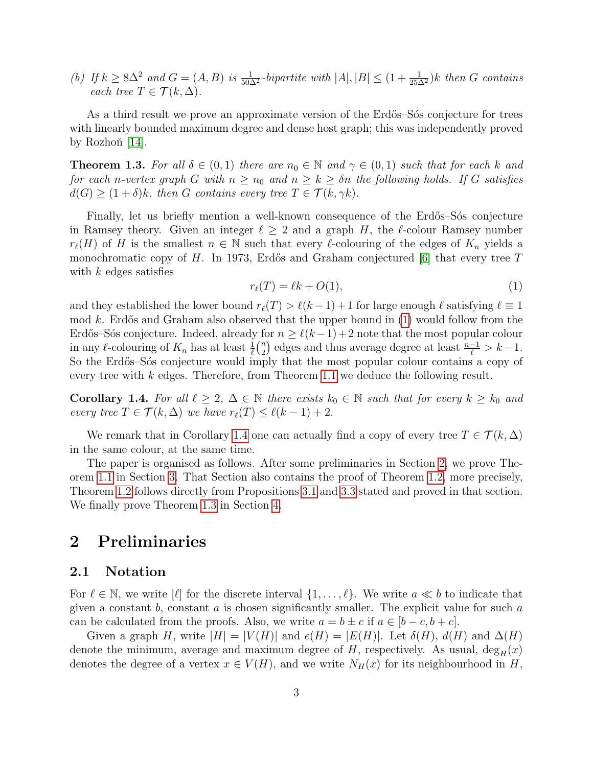(b) If  $k \geq 8\Delta^2$  and  $G = (A, B)$  is  $\frac{1}{50\Delta^2}$ -bipartite with  $|A|, |B| \leq (1 + \frac{1}{25\Delta^2})k$  then G contains each tree  $T \in \mathcal{T}(k, \Delta)$ .

As a third result we prove an approximate version of the Erdős–Sós conjecture for trees with linearly bounded maximum degree and dense host graph; this was independently proved by Rozhoň  $[14]$ .

<span id="page-2-3"></span>**Theorem 1.3.** For all  $\delta \in (0,1)$  there are  $n_0 \in \mathbb{N}$  and  $\gamma \in (0,1)$  such that for each k and for each n-vertex graph G with  $n \geq n_0$  and  $n \geq k \geq \delta n$  the following holds. If G satisfies  $d(G) \geq (1+\delta)k$ , then G contains every tree  $T \in \mathcal{T}(k, \gamma k)$ .

Finally, let us briefly mention a well-known consequence of the Erdős–Sós conjecture in Ramsey theory. Given an integer  $\ell \geq 2$  and a graph H, the  $\ell$ -colour Ramsey number  $r_{\ell}(H)$  of H is the smallest  $n \in \mathbb{N}$  such that every  $\ell$ -colouring of the edges of  $K_n$  yields a monochromatic copy of H. In 1973, Erdős and Graham conjectured  $[6]$  that every tree T with  $k$  edges satisfies

<span id="page-2-0"></span>
$$
r_{\ell}(T) = \ell k + O(1),\tag{1}
$$

and they established the lower bound  $r_{\ell}(T) > \ell(k - 1) + 1$  for large enough  $\ell$  satisfying  $\ell \equiv 1$ mod k. Erdős and Graham also observed that the upper bound in  $(1)$  would follow from the Erdős–Sós conjecture. Indeed, already for  $n \ge \ell(k-1)+2$  note that the most popular colour in any  $\ell$ -colouring of  $K_n$  has at least  $\frac{1}{\ell} {n \choose 2}$  $\binom{n}{2}$  edges and thus average degree at least  $\frac{n-1}{\ell} > k-1$ . So the Erdős–Sós conjecture would imply that the most popular colour contains a copy of every tree with k edges. Therefore, from Theorem [1.1](#page-1-0) we deduce the following result.

<span id="page-2-1"></span>**Corollary 1.4.** For all  $\ell \geq 2$ ,  $\Delta \in \mathbb{N}$  there exists  $k_0 \in \mathbb{N}$  such that for every  $k \geq k_0$  and every tree  $T \in \mathcal{T}(k, \Delta)$  we have  $r_{\ell}(T) \leq \ell(k - 1) + 2$ .

We remark that in Corollary [1.4](#page-2-1) one can actually find a copy of every tree  $T \in \mathcal{T}(k,\Delta)$ in the same colour, at the same time.

The paper is organised as follows. After some preliminaries in Section [2,](#page-2-2) we prove Theorem [1.1](#page-1-0) in Section [3.](#page-6-0) That Section also contains the proof of Theorem [1.2,](#page-1-1) more precisely, Theorem [1.2](#page-1-1) follows directly from Propositions [3.1](#page-6-1) and [3.3](#page-7-0) stated and proved in that section. We finally prove Theorem [1.3](#page-2-3) in Section [4.](#page-16-0)

### <span id="page-2-2"></span>2 Preliminaries

#### 2.1 Notation

For  $\ell \in \mathbb{N}$ , we write  $[\ell]$  for the discrete interval  $\{1, \ldots, \ell\}$ . We write  $a \ll b$  to indicate that given a constant  $b$ , constant  $a$  is chosen significantly smaller. The explicit value for such  $a$ can be calculated from the proofs. Also, we write  $a = b \pm c$  if  $a \in [b - c, b + c]$ .

Given a graph H, write  $|H| = |V(H)|$  and  $e(H) = |E(H)|$ . Let  $\delta(H)$ ,  $d(H)$  and  $\Delta(H)$ denote the minimum, average and maximum degree of H, respectively. As usual,  $\deg_H(x)$ denotes the degree of a vertex  $x \in V(H)$ , and we write  $N_H(x)$  for its neighbourhood in H,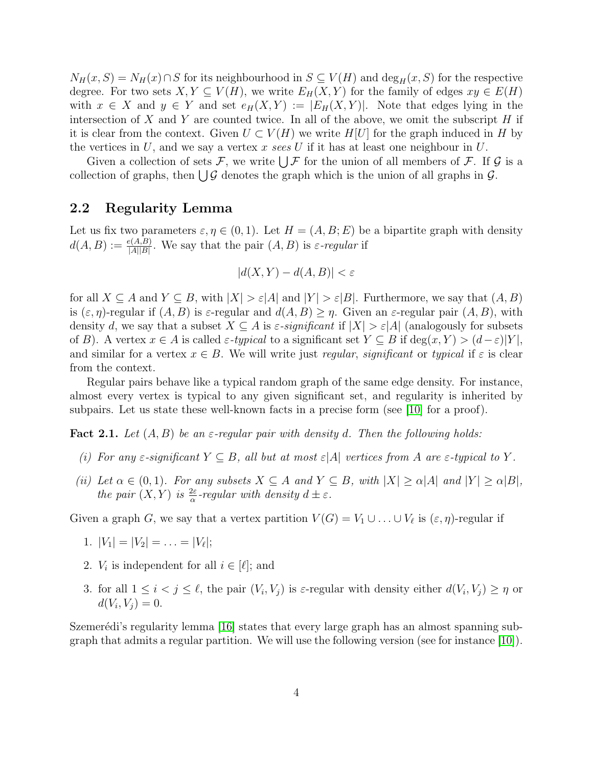$N_H(x, S) = N_H(x) \cap S$  for its neighbourhood in  $S \subseteq V(H)$  and  $\deg_H(x, S)$  for the respective degree. For two sets  $X, Y \subseteq V(H)$ , we write  $E_H(X, Y)$  for the family of edges  $xy \in E(H)$ with  $x \in X$  and  $y \in Y$  and set  $e_H(X, Y) := |E_H(X, Y)|$ . Note that edges lying in the intersection of X and Y are counted twice. In all of the above, we omit the subscript  $H$  if it is clear from the context. Given  $U \subset V(H)$  we write  $H[U]$  for the graph induced in H by the vertices in  $U$ , and we say a vertex x sees  $U$  if it has at least one neighbour in  $U$ .

Given a collection of sets F, we write  $\bigcup \mathcal{F}$  for the union of all members of F. If G is a collection of graphs, then  $\bigcup \mathcal{G}$  denotes the graph which is the union of all graphs in  $\mathcal{G}$ .

### 2.2 Regularity Lemma

Let us fix two parameters  $\varepsilon, \eta \in (0, 1)$ . Let  $H = (A, B; E)$  be a bipartite graph with density  $d(A, B) := \frac{e(A, B)}{|A||B|}$ . We say that the pair  $(A, B)$  is  $\varepsilon$ -regular if

$$
|d(X,Y) - d(A,B)| < \varepsilon
$$

for all  $X \subseteq A$  and  $Y \subseteq B$ , with  $|X| > \varepsilon |A|$  and  $|Y| > \varepsilon |B|$ . Furthermore, we say that  $(A, B)$ is  $(\varepsilon, \eta)$ -regular if  $(A, B)$  is  $\varepsilon$ -regular and  $d(A, B) \geq \eta$ . Given an  $\varepsilon$ -regular pair  $(A, B)$ , with density d, we say that a subset  $X \subseteq A$  is  $\varepsilon$ -significant if  $|X| > \varepsilon |A|$  (analogously for subsets of B). A vertex  $x \in A$  is called  $\varepsilon$ -typical to a significant set  $Y \subseteq B$  if  $deg(x, Y) > (d-\varepsilon)|Y|$ , and similar for a vertex  $x \in B$ . We will write just regular, significant or typical if  $\varepsilon$  is clear from the context.

Regular pairs behave like a typical random graph of the same edge density. For instance, almost every vertex is typical to any given significant set, and regularity is inherited by subpairs. Let us state these well-known facts in a precise form (see [\[10\]](#page-22-2) for a proof).

**Fact 2.1.** Let  $(A, B)$  be an  $\varepsilon$ -regular pair with density d. Then the following holds:

- (i) For any  $\varepsilon$ -significant  $Y \subseteq B$ , all but at most  $\varepsilon |A|$  vertices from A are  $\varepsilon$ -typical to Y.
- (ii) Let  $\alpha \in (0,1)$ . For any subsets  $X \subseteq A$  and  $Y \subseteq B$ , with  $|X| \ge \alpha |A|$  and  $|Y| \ge \alpha |B|$ , the pair  $(X, Y)$  is  $\frac{2\varepsilon}{\alpha}$ -regular with density  $d \pm \varepsilon$ .

Given a graph G, we say that a vertex partition  $V(G) = V_1 \cup ... \cup V_\ell$  is  $(\varepsilon, \eta)$ -regular if

- 1.  $|V_1| = |V_2| = \ldots = |V_\ell|;$
- 2.  $V_i$  is independent for all  $i \in [\ell];$  and
- 3. for all  $1 \leq i < j \leq \ell$ , the pair  $(V_i, V_j)$  is  $\varepsilon$ -regular with density either  $d(V_i, V_j) \geq \eta$  or  $d(V_i, V_j) = 0.$

<span id="page-3-0"></span>Szemerédi's regularity lemma  $[16]$  states that every large graph has an almost spanning subgraph that admits a regular partition. We will use the following version (see for instance  $(10)$ ).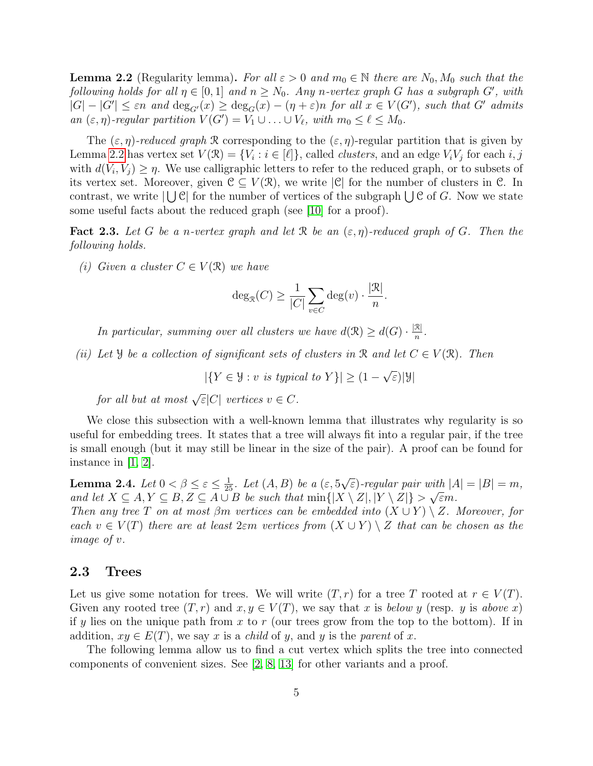**Lemma 2.2** (Regularity lemma). For all  $\varepsilon > 0$  and  $m_0 \in \mathbb{N}$  there are  $N_0$ ,  $M_0$  such that the following holds for all  $\eta \in [0,1]$  and  $n \geq N_0$ . Any n-vertex graph G has a subgraph G', with  $|G| - |G'| \leq \varepsilon n$  and  $\deg_{G'}(x) \geq \deg_G(x) - (n + \varepsilon)n$  for all  $x \in V(G')$ , such that G' admits an  $(\varepsilon, \eta)$ -regular partition  $V(G') = V_1 \cup ... \cup V_\ell$ , with  $m_0 \leq \ell \leq M_0$ .

The  $(\varepsilon, \eta)$ -reduced graph R corresponding to the  $(\varepsilon, \eta)$ -regular partition that is given by Lemma [2.2](#page-3-0) has vertex set  $V(\mathcal{R}) = \{V_i : i \in [\ell]\},$  called *clusters*, and an edge  $V_i V_j$  for each  $i, j$ with  $d(V_i, V_j) \geq \eta$ . We use calligraphic letters to refer to the reduced graph, or to subsets of its vertex set. Moreover, given  $\mathcal{C} \subseteq V(\mathcal{R})$ , we write  $|\mathcal{C}|$  for the number of clusters in  $\mathcal{C}$ . In contrast, we write  $|\bigcup \mathcal{C}|$  for the number of vertices of the subgraph  $\bigcup \mathcal{C}$  of G. Now we state some useful facts about the reduced graph (see [\[10\]](#page-22-2) for a proof).

<span id="page-4-1"></span>**Fact 2.3.** Let G be a n-vertex graph and let R be an  $(\varepsilon, \eta)$ -reduced graph of G. Then the following holds.

<span id="page-4-2"></span>(i) Given a cluster  $C \in V(\mathcal{R})$  we have

$$
\deg_{\mathcal{R}}(C) \ge \frac{1}{|C|} \sum_{v \in C} \deg(v) \cdot \frac{|\mathcal{R}|}{n}.
$$

In particular, summing over all clusters we have  $d(\mathcal{R}) \geq d(G) \cdot \frac{|\mathcal{R}|}{n}$  $\frac{\mathcal{K}|}{n}$  .

<span id="page-4-3"></span>(ii) Let Y be a collection of significant sets of clusters in R and let  $C \in V(\mathbb{R})$ . Then

 $|\{Y \in \mathcal{Y} : v \text{ is typical to } Y\}| \geq (1 -$ √ ε)|Y|

for all but at most  $\sqrt{\varepsilon}|C|$  vertices  $v \in C$ .

We close this subsection with a well-known lemma that illustrates why regularity is so useful for embedding trees. It states that a tree will always fit into a regular pair, if the tree is small enough (but it may still be linear in the size of the pair). A proof can be found for instance in [\[1,](#page-21-6) [2\]](#page-21-4).

<span id="page-4-4"></span>**Lemma 2.4.** Let  $0 < \beta \leq \varepsilon \leq \frac{1}{25}$ . Let  $(A, B)$  be a  $(\varepsilon, 5)$ √  $\overline{\epsilon}$ )-regular pair with  $|A| = |B| = m$ , and let  $X \subseteq A, Y \subseteq B, Z \subseteq A \cup B$  be such that  $\min\{|X \setminus Z|, |Y \setminus Z|\} > \sqrt{\varepsilon}m$ .

Then any tree T on at most  $\beta m$  vertices can be embedded into  $(X \cup Y) \setminus Z$ . Moreover, for each  $v \in V(T)$  there are at least  $2\varepsilon m$  vertices from  $(X \cup Y) \setminus Z$  that can be chosen as the image of v.

#### 2.3 Trees

Let us give some notation for trees. We will write  $(T, r)$  for a tree T rooted at  $r \in V(T)$ . Given any rooted tree  $(T, r)$  and  $x, y \in V(T)$ , we say that x is below y (resp. y is above x) if y lies on the unique path from x to r (our trees grow from the top to the bottom). If in addition,  $xy \in E(T)$ , we say x is a *child* of y, and y is the parent of x.

<span id="page-4-0"></span>The following lemma allow us to find a cut vertex which splits the tree into connected components of convenient sizes. See [\[2,](#page-21-4) [8,](#page-21-7) [13\]](#page-22-4) for other variants and a proof.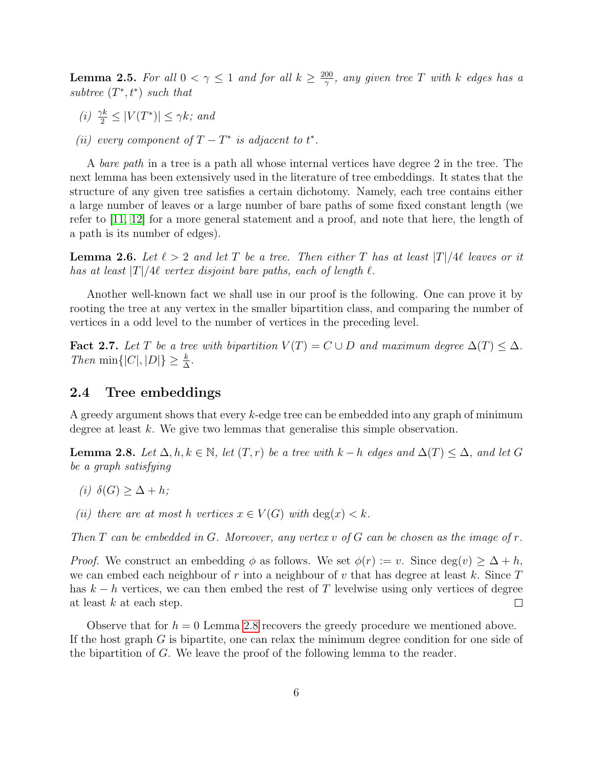**Lemma 2.5.** For all  $0 < \gamma \leq 1$  and for all  $k \geq \frac{200}{\gamma}$  $\frac{00}{\gamma}$ , any given tree  $T$  with  $k$  edges has a subtree  $(T^*, t^*)$  such that

- (i)  $\frac{\gamma k}{2} \leq |V(T^*)| \leq \gamma k$ ; and
- (ii) every component of  $T T^*$  is adjacent to  $t^*$ .

A bare path in a tree is a path all whose internal vertices have degree 2 in the tree. The next lemma has been extensively used in the literature of tree embeddings. It states that the structure of any given tree satisfies a certain dichotomy. Namely, each tree contains either a large number of leaves or a large number of bare paths of some fixed constant length (we refer to [\[11,](#page-22-5) [12\]](#page-22-6) for a more general statement and a proof, and note that here, the length of a path is its number of edges).

<span id="page-5-3"></span>**Lemma 2.6.** Let  $\ell > 2$  and let T be a tree. Then either T has at least  $|T|/4\ell$  leaves or it has at least  $|T|/4\ell$  vertex disjoint bare paths, each of length  $\ell$ .

Another well-known fact we shall use in our proof is the following. One can prove it by rooting the tree at any vertex in the smaller bipartition class, and comparing the number of vertices in a odd level to the number of vertices in the preceding level.

<span id="page-5-1"></span>Fact 2.7. Let T be a tree with bipartition  $V(T) = C \cup D$  and maximum degree  $\Delta(T) \leq \Delta$ . Then min $\{|C|, |D|\} \geq \frac{k}{\Delta}$ .

#### 2.4 Tree embeddings

A greedy argument shows that every k-edge tree can be embedded into any graph of minimum degree at least k. We give two lemmas that generalise this simple observation.

<span id="page-5-0"></span>**Lemma 2.8.** Let  $\Delta, h, k \in \mathbb{N}$ , let  $(T, r)$  be a tree with  $k - h$  edges and  $\Delta(T) \leq \Delta$ , and let G be a graph satisfying

- (i)  $\delta(G) > \Delta + h$ ;
- (ii) there are at most h vertices  $x \in V(G)$  with  $\deg(x) < k$ .

Then T can be embedded in G. Moreover, any vertex v of G can be chosen as the image of  $r$ .

*Proof.* We construct an embedding  $\phi$  as follows. We set  $\phi(r) := v$ . Since  $\deg(v) \geq \Delta + h$ , we can embed each neighbour of r into a neighbour of v that has degree at least k. Since  $T$ has  $k - h$  vertices, we can then embed the rest of T levelwise using only vertices of degree at least  $k$  at each step.  $\Box$ 

<span id="page-5-2"></span>Observe that for  $h = 0$  Lemma [2.8](#page-5-0) recovers the greedy procedure we mentioned above. If the host graph  $G$  is bipartite, one can relax the minimum degree condition for one side of the bipartition of G. We leave the proof of the following lemma to the reader.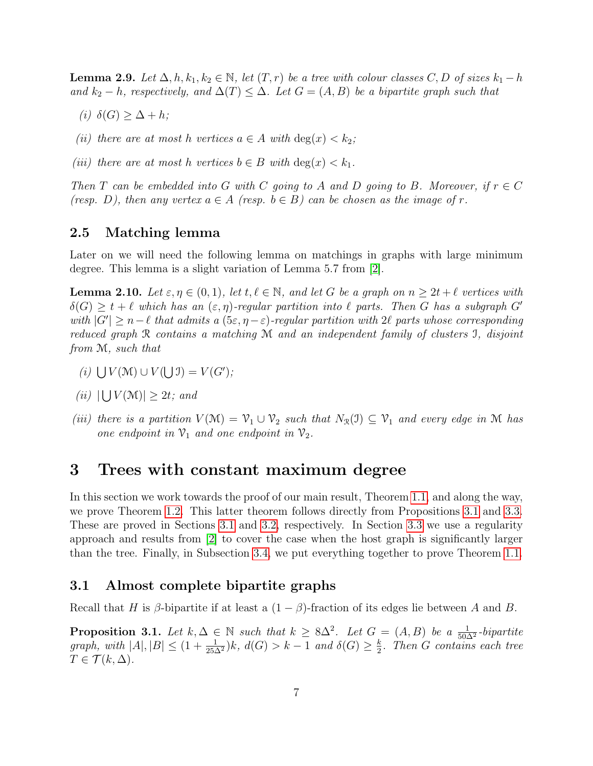**Lemma 2.9.** Let  $\Delta, h, k_1, k_2 \in \mathbb{N}$ , let  $(T, r)$  be a tree with colour classes C, D of sizes  $k_1 - h$ and  $k_2 - h$ , respectively, and  $\Delta(T) \leq \Delta$ . Let  $G = (A, B)$  be a bipartite graph such that

- (i)  $\delta(G) \geq \Delta + h;$
- (ii) there are at most h vertices  $a \in A$  with  $\deg(x) < k_2$ ;
- (iii) there are at most h vertices  $b \in B$  with  $\deg(x) < k_1$ .

Then T can be embedded into G with C going to A and D going to B. Moreover, if  $r \in C$ (resp. D), then any vertex  $a \in A$  (resp.  $b \in B$ ) can be chosen as the image of r.

### 2.5 Matching lemma

Later on we will need the following lemma on matchings in graphs with large minimum degree. This lemma is a slight variation of Lemma 5.7 from [\[2\]](#page-21-4).

<span id="page-6-3"></span>**Lemma 2.10.** Let  $\varepsilon, \eta \in (0, 1)$ , let  $t, \ell \in \mathbb{N}$ , and let G be a graph on  $n \geq 2t + \ell$  vertices with  $\delta(G) \geq t + \ell$  which has an  $(\varepsilon, \eta)$ -regular partition into  $\ell$  parts. Then G has a subgraph G' with  $|G'| \geq n-\ell$  that admits a  $(5\varepsilon, \eta - \varepsilon)$ -regular partition with 2 $\ell$  parts whose corresponding reduced graph R contains a matching M and an independent family of clusters I, disjoint from M, such that

- (i)  $\bigcup V(\mathcal{M}) \cup V(\bigcup \mathcal{I}) = V(G')$ ;
- (*ii*)  $|\bigcup V(\mathcal{M})| \geq 2t$ ; and
- (iii) there is a partition  $V(\mathcal{M}) = V_1 \cup V_2$  such that  $N_{\mathcal{R}}(\mathcal{I}) \subseteq V_1$  and every edge in M has one endpoint in  $\mathcal{V}_1$  and one endpoint in  $\mathcal{V}_2$ .

### <span id="page-6-0"></span>3 Trees with constant maximum degree

In this section we work towards the proof of our main result, Theorem [1.1,](#page-1-0) and along the way, we prove Theorem [1.2.](#page-1-1) This latter theorem follows directly from Propositions [3.1](#page-6-1) and [3.3.](#page-7-0) These are proved in Sections [3.1](#page-6-2) and [3.2,](#page-7-1) respectively. In Section [3.3](#page-10-0) we use a regularity approach and results from [\[2\]](#page-21-4) to cover the case when the host graph is significantly larger than the tree. Finally, in Subsection [3.4,](#page-14-0) we put everything together to prove Theorem [1.1.](#page-1-0)

#### <span id="page-6-2"></span>3.1 Almost complete bipartite graphs

Recall that H is β-bipartite if at least a  $(1 - \beta)$ -fraction of its edges lie between A and B.

<span id="page-6-1"></span>**Proposition 3.1.** Let  $k, \Delta \in \mathbb{N}$  such that  $k \geq 8\Delta^2$ . Let  $G = (A, B)$  be a  $\frac{1}{50\Delta^2}$ -bipartite graph, with  $|A|, |B| \le (1 + \frac{1}{25\Delta^2})k$ ,  $d(G) > k - 1$  and  $\delta(G) \ge \frac{k}{2}$  $\frac{k}{2}$ . Then G contains each tree  $T \in \mathcal{T}(k,\Delta).$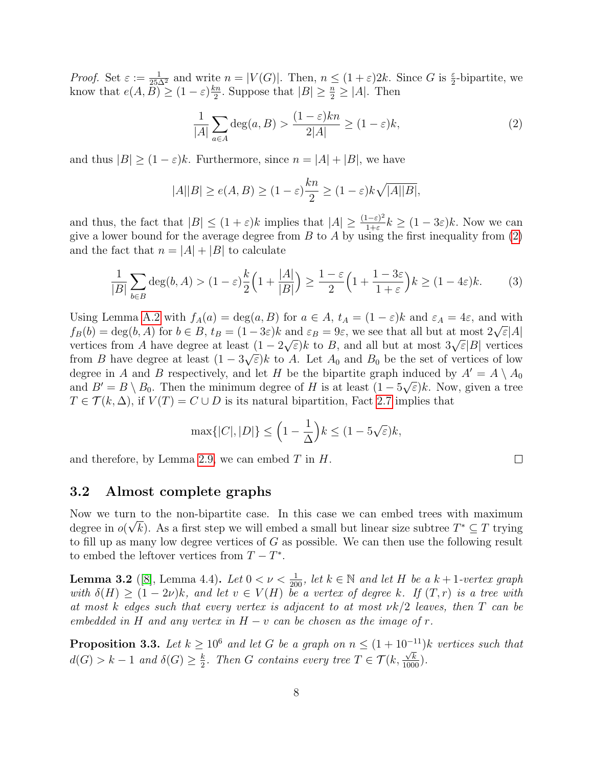*Proof.* Set  $\varepsilon := \frac{1}{25\Delta^2}$  and write  $n = |V(G)|$ . Then,  $n \leq (1 + \varepsilon)2k$ . Since G is  $\frac{\varepsilon}{2}$ -bipartite, we know that  $e(A, \widetilde{B}) \geq (1 - \varepsilon) \frac{kn}{2}$  $\frac{2n}{2}$ . Suppose that  $|B| \geq \frac{n}{2} \geq |A|$ . Then

<span id="page-7-2"></span>
$$
\frac{1}{|A|} \sum_{a \in A} \deg(a, B) > \frac{(1 - \varepsilon)kn}{2|A|} \ge (1 - \varepsilon)k,\tag{2}
$$

and thus  $|B| > (1 - \varepsilon)k$ . Furthermore, since  $n = |A| + |B|$ , we have

$$
|A||B| \ge e(A, B) \ge (1 - \varepsilon) \frac{kn}{2} \ge (1 - \varepsilon) k \sqrt{|A||B|},
$$

and thus, the fact that  $|B| \leq (1 + \varepsilon)k$  implies that  $|A| \geq \frac{(1 - \varepsilon)^2}{1 + \varepsilon}$  $\frac{1-\varepsilon)^2}{1+\varepsilon}k \geq (1-3\varepsilon)k$ . Now we can give a lower bound for the average degree from  $B$  to  $A$  by using the first inequality from  $(2)$ and the fact that  $n = |A| + |B|$  to calculate

$$
\frac{1}{|B|} \sum_{b \in B} \deg(b, A) > (1 - \varepsilon) \frac{k}{2} \left( 1 + \frac{|A|}{|B|} \right) \ge \frac{1 - \varepsilon}{2} \left( 1 + \frac{1 - 3\varepsilon}{1 + \varepsilon} \right) k \ge (1 - 4\varepsilon) k. \tag{3}
$$

Using Lemma [A.2](#page-23-0) with  $f_A(a) = \deg(a, B)$  for  $a \in A$ ,  $t_A = (1 - \varepsilon)k$  and  $\varepsilon_A = 4\varepsilon$ , and with Using Lemma A.2 with  $f_A(u) = \deg(u, D)$  for  $u \in A$ ,  $\iota_A = (1 - \varepsilon)\kappa$  and  $\varepsilon_A = 4\varepsilon$ , and with<br>  $f_B(b) = \deg(b, A)$  for  $b \in B$ ,  $t_B = (1 - 3\varepsilon)k$  and  $\varepsilon_B = 9\varepsilon$ , we see that all but at most  $2\sqrt{\varepsilon}|A|$  $U_B(v) = \deg(v, A)$  for  $v \in D$ ,  $v_B = (1 - 3\varepsilon)\kappa$  and  $\varepsilon_B = 9\varepsilon$ , we see that an but at most  $2\sqrt{\varepsilon}|A|$  vertices from A have degree at least  $(1 - 2\sqrt{\varepsilon})k$  to B, and all but at most  $3\sqrt{\varepsilon}|B|$  vertices from B have degree at least  $(1 - 3\sqrt{\varepsilon})k$  to A. Let  $A_0$  and  $B_0$  be the set of vertices of low degree in A and B respectively, and let H be the bipartite graph induced by  $A' = A \setminus A_0$ and  $B' = B \setminus B_0$ . Then the minimum degree of H is at least  $(1 - 5\sqrt{\varepsilon})k$ . Now, given a tree  $T \in \mathcal{T}(k,\Delta)$ , if  $V(T) = C \cup D$  is its natural bipartition, Fact [2.7](#page-5-1) implies that

$$
\max\{|C|, |D|\} \le \left(1 - \frac{1}{\Delta}\right)k \le (1 - 5\sqrt{\varepsilon})k,
$$

and therefore, by Lemma [2.9,](#page-5-2) we can embed  $T$  in  $H$ .

### <span id="page-7-1"></span>3.2 Almost complete graphs

Now we turn to the non-bipartite case. In this case we can embed trees with maximum degree in  $o(\sqrt{k})$ . As a first step we will embed a small but linear size subtree  $T^* \subseteq T$  trying to fill up as many low degree vertices of  $G$  as possible. We can then use the following result to embed the leftover vertices from  $T - T^*$ .

<span id="page-7-3"></span>**Lemma 3.2** ([\[8\]](#page-21-7), Lemma 4.4). Let  $0 < \nu < \frac{1}{200}$ , let  $k \in \mathbb{N}$  and let H be a  $k + 1$ -vertex graph with  $\delta(H) \ge (1-2\nu)k$ , and let  $v \in V(H)$  be a vertex of degree k. If  $(T,r)$  is a tree with at most k edges such that every vertex is adjacent to at most  $\nu k/2$  leaves, then T can be embedded in H and any vertex in  $H - v$  can be chosen as the image of r.

<span id="page-7-0"></span>**Proposition 3.3.** Let  $k \geq 10^6$  and let G be a graph on  $n \leq (1 + 10^{-11})k$  vertices such that  $d(G) > k - 1$  and  $\delta(G) \geq \frac{k}{2}$  $\frac{k}{2}$ . Then G contains every tree  $T \in \mathcal{T}(k, \frac{\sqrt{k}}{1000})$ .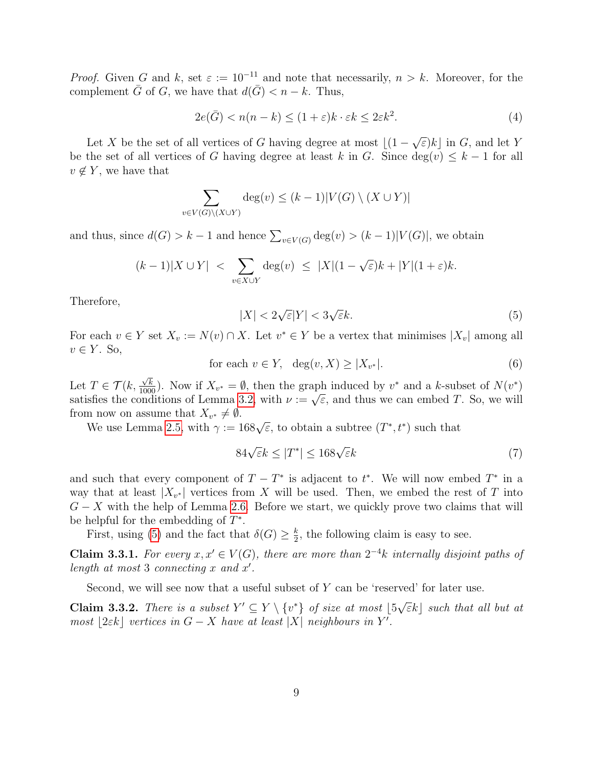*Proof.* Given G and k, set  $\varepsilon := 10^{-11}$  and note that necessarily,  $n > k$ . Moreover, for the complement  $\overline{G}$  of G, we have that  $d(\overline{G}) < n - k$ . Thus,

$$
2e(\bar{G}) < n(n-k) \le (1+\varepsilon)k \cdot \varepsilon k \le 2\varepsilon k^2. \tag{4}
$$

Let X be the set of all vertices of G having degree at most  $\lfloor (1 -$ √  $\overline{\varepsilon}$ )k<sub>c</sub> in G, and let Y be the set of all vertices of G having degree at least k in G. Since  $deg(v) \leq k-1$  for all  $v \notin Y$ , we have that

$$
\sum_{v \in V(G) \setminus (X \cup Y)} \deg(v) \le (k-1)|V(G) \setminus (X \cup Y)|
$$

and thus, since  $d(G) > k - 1$  and hence  $\sum_{v \in V(G)} \deg(v) > (k - 1)|V(G)|$ , we obtain

<span id="page-8-0"></span>
$$
(k-1)|X \cup Y| < \sum_{v \in X \cup Y} \deg(v) \leq |X|(1-\sqrt{\varepsilon})k + |Y|(1+\varepsilon)k.
$$

Therefore,

$$
|X| < 2\sqrt{\varepsilon}|Y| < 3\sqrt{\varepsilon}k.\tag{5}
$$

<span id="page-8-4"></span>For each  $v \in Y$  set  $X_v := N(v) \cap X$ . Let  $v^* \in Y$  be a vertex that minimises  $|X_v|$  among all  $v \in Y$ . So,

for each 
$$
v \in Y
$$
,  $\deg(v, X) \ge |X_{v^*}|$ . (6)

Let  $T \in \mathcal{T}(k,$  $\frac{\sqrt{k}}{1000}$ ). Now if  $X_{v^*} = \emptyset$ , then the graph induced by  $v^*$  and a k-subset of  $N(v^*)$ Let  $I \in I$  ( $\kappa$ ,  $\frac{1}{1000}$ ). Now if  $\Lambda_{v^*} = \psi$ , then the graph induced by v and a  $\kappa$ -subset of  $N(v)$  satisfies the conditions of Lemma [3.2,](#page-7-3) with  $\nu := \sqrt{\varepsilon}$ , and thus we can embed T. So, we will from now on assume that  $X_{v^*} \neq \emptyset$ .

where the use Lemma [2.5,](#page-4-0) with  $\gamma := 168\sqrt{\varepsilon}$ , to obtain a subtree  $(T^*, t^*)$  such that

<span id="page-8-3"></span>
$$
84\sqrt{\varepsilon}k \le |T^*| \le 168\sqrt{\varepsilon}k\tag{7}
$$

and such that every component of  $T - T^*$  is adjacent to  $t^*$ . We will now embed  $T^*$  in a way that at least  $|X_{v^*}|$  vertices from X will be used. Then, we embed the rest of T into  $G - X$  with the help of Lemma [2.6.](#page-5-3) Before we start, we quickly prove two claims that will be helpful for the embedding of  $T^*$ .

First, using [\(5\)](#page-8-0) and the fact that  $\delta(G) \geq \frac{k}{2}$  $\frac{k}{2}$ , the following claim is easy to see.

<span id="page-8-2"></span>**Claim 3.3.1.** For every  $x, x' \in V(G)$ , there are more than  $2^{-4}k$  internally disjoint paths of length at most 3 connecting  $x$  and  $x'$ .

Second, we will see now that a useful subset of Y can be 'reserved' for later use.

<span id="page-8-1"></span>**Claim 3.3.2.** There is a subset  $Y' \subseteq Y \setminus \{v^*\}$  of size at most  $\vert 5\sqrt{\ }$  $\overline{\varepsilon}k\vert$  such that all but at most [2 $\varepsilon$ k] vertices in  $G - X$  have at least |X| neighbours in Y'.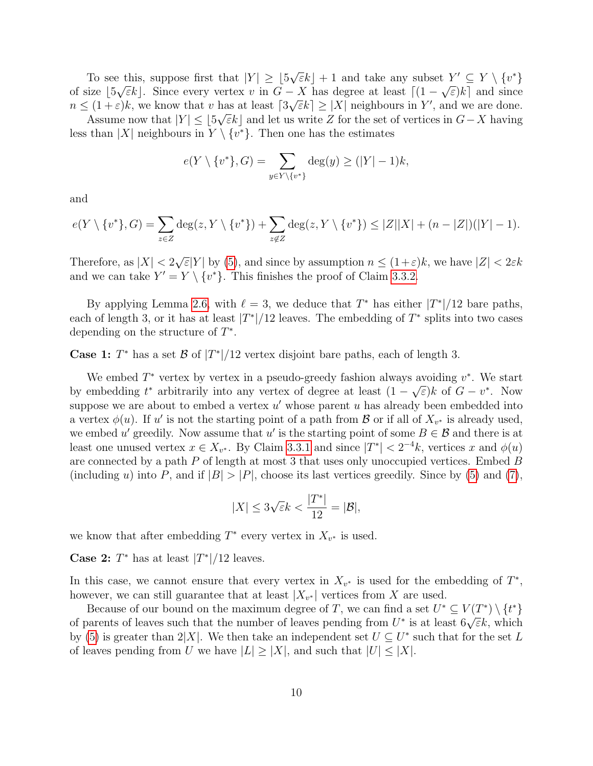To see this, suppose first that  $|Y| \geq 5$ √ e this, suppose first that  $|Y| \geq \lfloor 5\sqrt{\varepsilon}k \rfloor + 1$  and take any subset  $Y' \subseteq Y \setminus \{v^*\}$ of size  $[5\sqrt{\varepsilon}k]$ . Since every vertex v in  $G - X$  has degree at least  $[(1 - \sqrt{\varepsilon})k]$  and since  $n \leq (1+\varepsilon)k$ , we know that v has at least  $\lceil 3\sqrt{\varepsilon}k \rceil \geq |X|$  neighbours in Y', and we are done.

Assume now that  $|Y| \leq \lfloor 5\sqrt{\varepsilon}k \rfloor$  and let us write Z for the set of vertices in  $G-X$  having less than |X| neighbours in  $Y \setminus \{v^*\}$ . Then one has the estimates

$$
e(Y \setminus \{v^*\}, G) = \sum_{y \in Y \setminus \{v^*\}} \deg(y) \ge (|Y| - 1)k,
$$

and

$$
e(Y \setminus \{v^*\}, G) = \sum_{z \in Z} \deg(z, Y \setminus \{v^*\}) + \sum_{z \notin Z} \deg(z, Y \setminus \{v^*\}) \le |Z||X| + (n - |Z|)(|Y| - 1).
$$

Therefore, as  $|X| < 2$ √  $\mathbb{E}[Y]$  by [\(5\)](#page-8-0), and since by assumption  $n \leq (1+\varepsilon)k$ , we have  $|Z| < 2\varepsilon k$ and we can take  $Y' = Y \setminus \{v^*\}$ . This finishes the proof of Claim [3.3.2.](#page-8-1)

By applying Lemma [2.6,](#page-5-3) with  $\ell = 3$ , we deduce that  $T^*$  has either  $|T^*|/12$  bare paths, each of length 3, or it has at least  $|T^*|/12$  leaves. The embedding of  $T^*$  splits into two cases depending on the structure of  $T^*$ .

**Case 1:**  $T^*$  has a set  $\mathcal{B}$  of  $|T^*|/12$  vertex disjoint bare paths, each of length 3.

We embed  $T^*$  vertex by vertex in a pseudo-greedy fashion always avoiding  $v^*$ . We start by embedding  $t^*$  arbitrarily into any vertex of degree at least  $(1 - \sqrt{\varepsilon})k$  of  $G - v^*$ . Now suppose we are about to embed a vertex  $u'$  whose parent u has already been embedded into a vertex  $\phi(u)$ . If u' is not the starting point of a path from  $\mathcal{B}$  or if all of  $X_{v^*}$  is already used, we embed u' greedily. Now assume that u' is the starting point of some  $B \in \mathcal{B}$  and there is at least one unused vertex  $x \in X_{v^*}$ . By Claim [3.3.1](#page-8-2) and since  $|T^*| < 2^{-4}k$ , vertices x and  $\phi(u)$ are connected by a path  $P$  of length at most 3 that uses only unoccupied vertices. Embed  $B$ (including u) into P, and if  $|B| > |P|$ , choose its last vertices greedily. Since by [\(5\)](#page-8-0) and [\(7\)](#page-8-3),

$$
|X| \le 3\sqrt{\varepsilon}k < \frac{|T^*|}{12} = |\mathcal{B}|,
$$

we know that after embedding  $T^*$  every vertex in  $X_{v^*}$  is used.

Case 2:  $T^*$  has at least  $|T^*|/12$  leaves.

In this case, we cannot ensure that every vertex in  $X_{v^*}$  is used for the embedding of  $T^*$ , however, we can still guarantee that at least  $|X_{v^*}|$  vertices from X are used.

Because of our bound on the maximum degree of T, we can find a set  $U^* \subseteq V(T^*) \setminus \{t^*\}$ because of our bound on the maximum degree of 1, we can find a set  $U \subseteq V(I) \setminus U$ <br>of parents of leaves such that the number of leaves pending from  $U^*$  is at least  $6\sqrt{\varepsilon}k$ , which by [\(5\)](#page-8-0) is greater than  $2|X|$ . We then take an independent set  $U \subseteq U^*$  such that for the set L of leaves pending from U we have  $|L| \geq |X|$ , and such that  $|U| \leq |X|$ .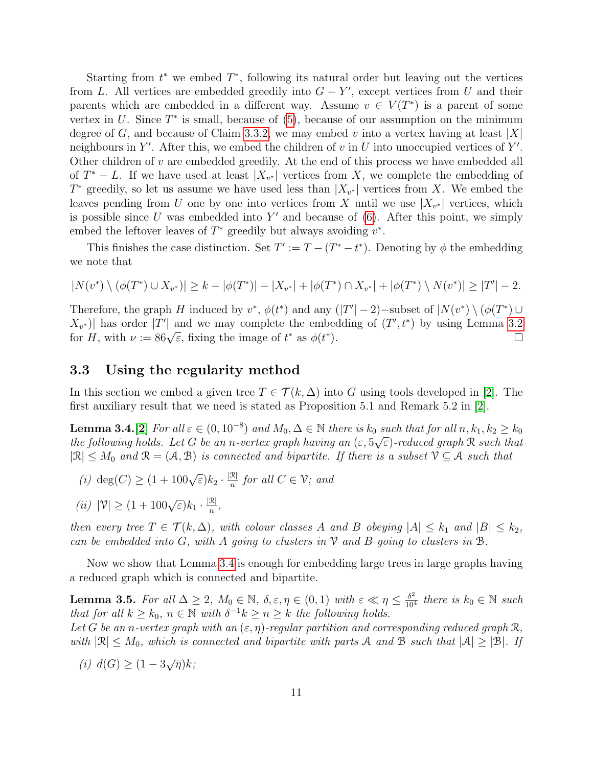Starting from  $t^*$  we embed  $T^*$ , following its natural order but leaving out the vertices from L. All vertices are embedded greedily into  $G - Y'$ , except vertices from U and their parents which are embedded in a different way. Assume  $v \in V(T^*)$  is a parent of some vertex in  $U$ . Since  $T^*$  is small, because of  $(5)$ , because of our assumption on the minimum degree of G, and because of Claim [3.3.2,](#page-8-1) we may embed v into a vertex having at least |X| neighbours in Y'. After this, we embed the children of  $v$  in  $U$  into unoccupied vertices of Y'. Other children of  $v$  are embedded greedily. At the end of this process we have embedded all of  $T^* - L$ . If we have used at least  $|X_{v^*}|$  vertices from X, we complete the embedding of  $T^*$  greedily, so let us assume we have used less than  $|X_{v^*}|$  vertices from X. We embed the leaves pending from U one by one into vertices from X until we use  $|X_{v^*}|$  vertices, which is possible since  $U$  was embedded into  $Y'$  and because of  $(6)$ . After this point, we simply embed the leftover leaves of  $T^*$  greedily but always avoiding  $v^*$ .

This finishes the case distinction. Set  $T' := T - (T^* - t^*)$ . Denoting by  $\phi$  the embedding we note that

$$
|N(v^*) \setminus (\phi(T^*) \cup X_{v^*})| \ge k - |\phi(T^*)| - |X_{v^*}| + |\phi(T^*) \cap X_{v^*}| + |\phi(T^*) \setminus N(v^*)| \ge |T'| - 2.
$$

Therefore, the graph H induced by  $v^*$ ,  $\phi(t^*)$  and any  $(|T'|-2)$ -subset of  $|N(v^*) \setminus (\phi(T^*) \cup$  $X_{v^*}$ )| has order |T'| and we may complete the embedding of  $(T', t^*)$  by using Lemma [3.2](#page-7-3)  $\mathcal{A}_{v^*}$  and we may complete the embed<br>for H, with  $\nu := 86\sqrt{\varepsilon}$ , fixing the image of  $t^*$  as  $\phi(t^*)$ .  $\Box$ 

#### <span id="page-10-0"></span>3.3 Using the regularity method

In this section we embed a given tree  $T \in \mathcal{T}(k,\Delta)$  into G using tools developed in [\[2\]](#page-21-4). The first auxiliary result that we need is stated as Proposition 5.1 and Remark 5.2 in [\[2\]](#page-21-4).

<span id="page-10-1"></span>**Lemma 3.4.**[\[2\]](#page-21-4) For all  $\varepsilon \in (0, 10^{-8})$  and  $M_0, \Delta \in \mathbb{N}$  there is  $k_0$  such that for all  $n, k_1, k_2 \ge k_0$ the following holds. Let G be an n-vertex graph having an  $(\varepsilon, 5\sqrt{\varepsilon})$ -reduced graph R such that  $|\mathcal{R}| \leq M_0$  and  $\mathcal{R} = (\mathcal{A}, \mathcal{B})$  is connected and bipartite. If there is a subset  $\mathcal{V} \subseteq \mathcal{A}$  such that

- (*i*) deg(C)  $\geq (1 + 100\sqrt{\varepsilon})k_2 \cdot \frac{|\mathcal{R}|}{n}$  $\frac{\alpha}{n}$  for all  $C \in \mathcal{V}$ ; and
- (ii)  $|\mathcal{V}| \ge (1 + 100\sqrt{\varepsilon})k_1 \cdot \frac{|\mathcal{R}|}{n}$  $\frac{\mathcal{K}|}{n}$ ,

then every tree  $T \in \mathcal{T}(k, \Delta)$ , with colour classes A and B obeying  $|A| \leq k_1$  and  $|B| \leq k_2$ , can be embedded into G, with A going to clusters in  $\mathcal V$  and B going to clusters in  $\mathcal B$ .

Now we show that Lemma [3.4](#page-10-1) is enough for embedding large trees in large graphs having a reduced graph which is connected and bipartite.

<span id="page-10-2"></span>**Lemma 3.5.** For all  $\Delta \geq 2$ ,  $M_0 \in \mathbb{N}$ ,  $\delta, \varepsilon, \eta \in (0, 1)$  with  $\varepsilon \ll \eta \leq \frac{\delta^2}{10^4}$  there is  $k_0 \in \mathbb{N}$  such that for all  $k \geq k_0$ ,  $n \in \mathbb{N}$  with  $\delta^{-1}k \geq n \geq k$  the following holds. Let G be an n-vertex graph with an  $(\varepsilon, \eta)$ -regular partition and corresponding reduced graph R,

with  $|\mathcal{R}| \leq M_0$ , which is connected and bipartite with parts A and B such that  $|\mathcal{A}| \geq |\mathcal{B}|$ . If

<span id="page-10-3"></span>(*i*)  $d(G)$  ≥  $(1 - 3\sqrt{\eta})k$ ;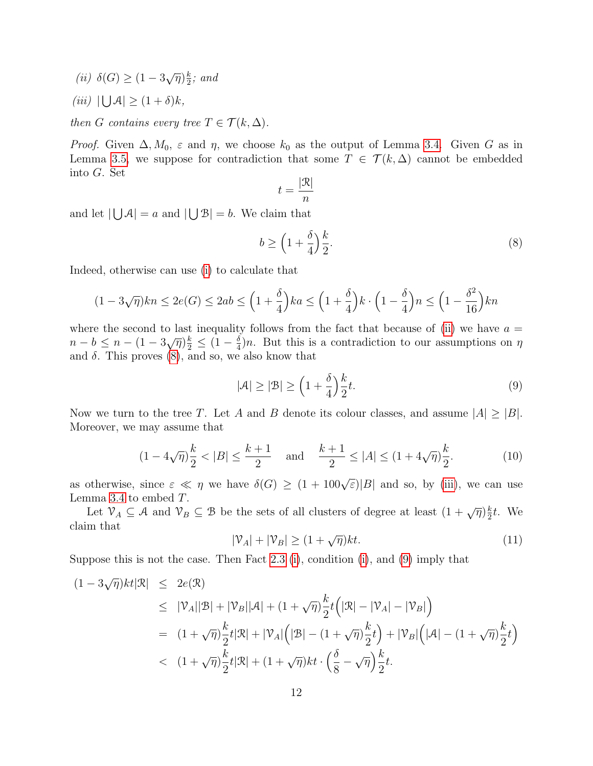<span id="page-11-0"></span>(ii)  $\delta(G) \geq (1 - 3\sqrt{\eta})\frac{k}{2}$  $\frac{k}{2}$ ; and

<span id="page-11-2"></span>(iii)  $|\bigcup \mathcal{A}| \geq (1+\delta)k$ ,

then G contains every tree  $T \in \mathcal{T}(k, \Delta)$ .

*Proof.* Given  $\Delta, M_0, \varepsilon$  and  $\eta$ , we choose  $k_0$  as the output of Lemma [3.4.](#page-10-1) Given G as in Lemma [3.5,](#page-10-2) we suppose for contradiction that some  $T \in \mathcal{T}(k,\Delta)$  cannot be embedded into G. Set

<span id="page-11-1"></span>
$$
t = \frac{|\mathcal{R}|}{n}
$$

and let  $|\bigcup A| = a$  and  $|\bigcup B| = b$ . We claim that

$$
b \ge \left(1 + \frac{\delta}{4}\right)\frac{k}{2}.\tag{8}
$$

Indeed, otherwise can use [\(i\)](#page-10-3) to calculate that

$$
(1 - 3\sqrt{\eta})kn \le 2e(G) \le 2ab \le \left(1 + \frac{\delta}{4}\right)ka \le \left(1 + \frac{\delta}{4}\right)k \cdot \left(1 - \frac{\delta}{4}\right)n \le \left(1 - \frac{\delta^2}{16}\right)kn
$$

where the second to last inequality follows from the fact that because of [\(ii\)](#page-11-0) we have  $a =$ where the second to last mequant<br>  $n - b \leq n - (1 - 3\sqrt{\eta})\frac{k}{2} \leq (1 - \frac{\delta}{4})$  $\frac{\delta}{4}$ )n. But this is a contradiction to our assumptions on  $\eta$ and  $\delta$ . This proves [\(8\)](#page-11-1), and so, we also know that

<span id="page-11-3"></span>
$$
|\mathcal{A}| \ge |\mathcal{B}| \ge \left(1 + \frac{\delta}{4}\right) \frac{k}{2} t. \tag{9}
$$

Now we turn to the tree T. Let A and B denote its colour classes, and assume  $|A| \geq |B|$ . Moreover, we may assume that

$$
(1 - 4\sqrt{\eta})\frac{k}{2} < |B| \le \frac{k+1}{2} \quad \text{and} \quad \frac{k+1}{2} \le |A| \le (1 + 4\sqrt{\eta})\frac{k}{2}.\tag{10}
$$

as otherwise, since  $\varepsilon \ll \eta$  we have  $\delta(G) \geq (1 + 100\sqrt{\varepsilon})|B|$  and so, by [\(iii\)](#page-11-2), we can use Lemma [3.4](#page-10-1) to embed T.

Let  $\mathcal{V}_A \subseteq \mathcal{A}$  and  $\mathcal{V}_B \subseteq \mathcal{B}$  be the sets of all clusters of degree at least  $(1 + \sqrt{\eta})\frac{k}{2}$  $\frac{k}{2}t$ . We claim that

$$
|\mathcal{V}_A| + |\mathcal{V}_B| \ge (1 + \sqrt{\eta})kt. \tag{11}
$$

Suppose this is not the case. Then Fact [2.3](#page-4-1) [\(i\)](#page-4-2), condition [\(i\)](#page-10-3), and [\(9\)](#page-11-3) imply that

$$
(1 - 3\sqrt{\eta})kt|\mathcal{R}| \le 2e(\mathcal{R})
$$
  
\n
$$
\le |\mathcal{V}_A||\mathcal{B}| + |\mathcal{V}_B||\mathcal{A}| + (1 + \sqrt{\eta})\frac{k}{2}t(|\mathcal{R}| - |\mathcal{V}_A| - |\mathcal{V}_B|)
$$
  
\n
$$
= (1 + \sqrt{\eta})\frac{k}{2}t|\mathcal{R}| + |\mathcal{V}_A|\left(|\mathcal{B}| - (1 + \sqrt{\eta})\frac{k}{2}t\right) + |\mathcal{V}_B|\left(|\mathcal{A}| - (1 + \sqrt{\eta})\frac{k}{2}t\right)
$$
  
\n
$$
< (1 + \sqrt{\eta})\frac{k}{2}t|\mathcal{R}| + (1 + \sqrt{\eta})kt \cdot \left(\frac{\delta}{8} - \sqrt{\eta}\right)\frac{k}{2}t.
$$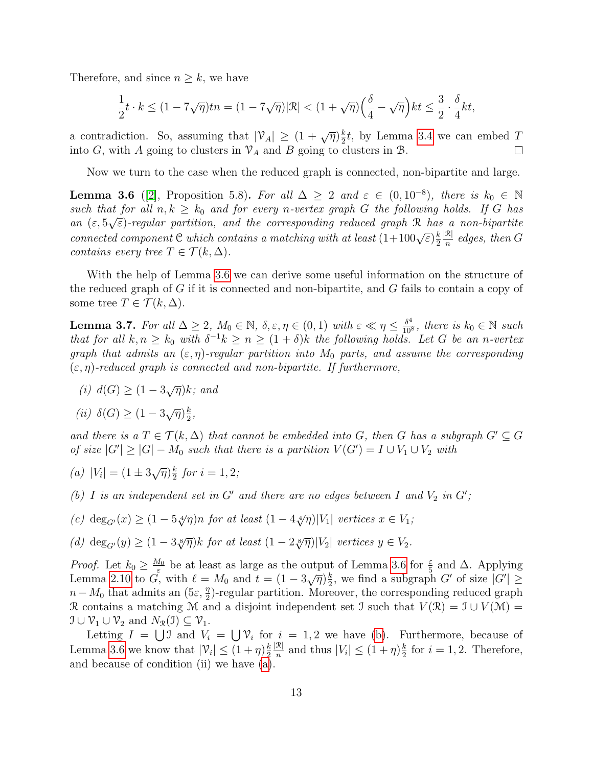Therefore, and since  $n \geq k$ , we have

$$
\frac{1}{2}t\cdot k\leq (1-7\sqrt{\eta})tn=(1-7\sqrt{\eta})|\mathcal{R}|<(1+\sqrt{\eta})\Big(\frac{\delta}{4}-\sqrt{\eta}\Big)kt\leq \frac{3}{2}\cdot \frac{\delta}{4}kt,
$$

a contradiction. So, assuming that  $|\mathcal{V}_A| \geq (1 + \sqrt{\eta})\frac{k}{2}$  $\frac{k}{2}t$ , by Lemma [3.4](#page-10-1) we can embed T into G, with A going to clusters in  $\mathcal{V}_A$  and B going to clusters in B.  $\Box$ 

Now we turn to the case when the reduced graph is connected, non-bipartite and large.

<span id="page-12-0"></span>**Lemma 3.6** ([\[2\]](#page-21-4), Proposition 5.8). For all  $\Delta \geq 2$  and  $\varepsilon \in (0, 10^{-8})$ , there is  $k_0 \in \mathbb{N}$ such that for all  $n, k \geq k_0$  and for every n-vertex graph G the following holds. If G has an  $(\varepsilon, 5\sqrt{\varepsilon})$ -regular partition, and the corresponding reduced graph R has a non-bipartite connected component C which contains a matching with at least  $(1+100\sqrt{\varepsilon})\frac{k}{2}$ 2  $|\mathcal{R}|$  $\frac{\alpha}{n}$  edges, then G contains every tree  $T \in \mathcal{T}(k, \Delta)$ .

With the help of Lemma [3.6](#page-12-0) we can derive some useful information on the structure of the reduced graph of G if it is connected and non-bipartite, and G fails to contain a copy of some tree  $T \in \mathcal{T}(k, \Delta)$ .

<span id="page-12-5"></span>**Lemma 3.7.** For all  $\Delta \geq 2$ ,  $M_0 \in \mathbb{N}$ ,  $\delta, \varepsilon, \eta \in (0, 1)$  with  $\varepsilon \ll \eta \leq \frac{\delta^4}{10^3}$  $\frac{\delta^4}{10^8}$ , there is  $k_0 \in \mathbb{N}$  such that for all  $k, n \geq k_0$  with  $\delta^{-1}k \geq n \geq (1+\delta)k$  the following holds. Let G be an n-vertex graph that admits an  $(\varepsilon, \eta)$ -regular partition into  $M_0$  parts, and assume the corresponding  $(\varepsilon, \eta)$ -reduced graph is connected and non-bipartite. If furthermore,

- (i)  $d(G) \geq (1 3\sqrt{\eta})k$ ; and
- (ii)  $\delta(G) \geq (1 3\sqrt{\eta})\frac{k}{2}$  $\frac{k}{2}$ ,

and there is a  $T \in \mathcal{T}(k, \Delta)$  that cannot be embedded into G, then G has a subgraph  $G' \subseteq G$ of size  $|G'| \geq |G| - M_0$  such that there is a partition  $V(G') = I \cup V_1 \cup V_2$  with

<span id="page-12-2"></span>(a) 
$$
|V_i| = (1 \pm 3\sqrt{\eta})\frac{k}{2}
$$
 for  $i = 1, 2$ ;

<span id="page-12-1"></span>(b) I is an independent set in  $G'$  and there are no edges between I and  $V_2$  in  $G'$ ;

<span id="page-12-3"></span>(c) deg<sub>G'</sub>(x) 
$$
\geq (1 - 5\sqrt[4]{\eta})n
$$
 for at least  $(1 - 4\sqrt[4]{\eta})|V_1|$  vertices  $x \in V_1$ ;

<span id="page-12-4"></span>(d)  $\deg_{G'}(y) \geq (1 - 3 \sqrt[8]{\eta}) k$  for at least  $(1 - 2 \sqrt[8]{\eta}) |V_2|$  vertices  $y \in V_2$ .

*Proof.* Let  $k_0 \geq \frac{M_0}{\varepsilon}$  $\frac{\Lambda_0}{\varepsilon}$  be at least as large as the output of Lemma [3.6](#page-12-0) for  $\frac{\varepsilon}{5}$  and  $\Delta$ . Applying Lemma [2.10](#page-6-3) to  $\vec{G}$ , with  $\ell = M_0$  and  $t = (1 - 3\sqrt{\eta})\frac{k}{2}$  $\frac{k}{2}$ , we find a subgraph G' of size  $|G'| \ge$  $n-M_0$  that admits an  $(5\varepsilon, \frac{\eta}{2})$ -regular partition. Moreover, the corresponding reduced graph R contains a matching M and a disjoint independent set I such that  $V(\mathcal{R}) = \mathcal{I} \cup V(\mathcal{M}) =$  $\mathcal{I} \cup \mathcal{V}_1 \cup \mathcal{V}_2$  and  $N_{\mathcal{R}}(\mathcal{I}) \subseteq \mathcal{V}_1$ .

Letting  $I = \bigcup \mathfrak{I}$  and  $V_i = \bigcup \mathfrak{V}_i$  for  $i = 1, 2$  we have [\(b\)](#page-12-1). Furthermore, because of Lemma [3.6](#page-12-0) we know that  $|\mathcal{V}_i| \leq (1 + \eta)\frac{k}{2}$ 2  $|\mathcal{R}|$  $\frac{\mathcal{R}}{n}$  and thus  $|V_i| \leq (1 + \eta)\frac{k}{2}$  $\frac{k}{2}$  for  $i = 1, 2$ . Therefore, and because of condition (ii) we have  $(a)$ .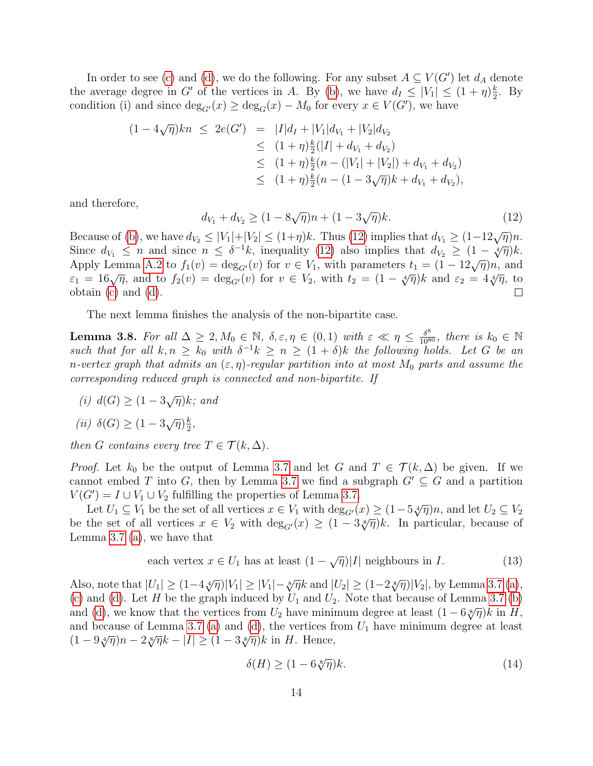In order to see [\(c\)](#page-12-3) and [\(d\)](#page-12-4), we do the following. For any subset  $A \subseteq V(G')$  let  $d_A$  denote the average degree in G' of the vertices in A. By [\(b\)](#page-12-1), we have  $d_I \leq |V_1| \leq (1 + \eta)\frac{k}{2}$  $\frac{k}{2}$ . By condition (i) and since  $deg_{G'}(x) \ge deg_G(x) - M_0$  for every  $x \in V(G')$ , we have

$$
(1 - 4\sqrt{\eta})kn \le 2e(G') = |I|d_I + |V_1|d_{V_1} + |V_2|d_{V_2}
$$
  
\n
$$
\le (1 + \eta)\frac{k}{2}(|I| + d_{V_1} + d_{V_2})
$$
  
\n
$$
\le (1 + \eta)\frac{k}{2}(n - (|V_1| + |V_2|) + d_{V_1} + d_{V_2})
$$
  
\n
$$
\le (1 + \eta)\frac{k}{2}(n - (1 - 3\sqrt{\eta})k + d_{V_1} + d_{V_2}),
$$

and therefore,

<span id="page-13-0"></span>
$$
d_{V_1} + d_{V_2} \ge (1 - 8\sqrt{\eta})n + (1 - 3\sqrt{\eta})k. \tag{12}
$$

Because of [\(b\)](#page-12-1), we have  $d_{V_2} \leq |V_1|+|V_2| \leq (1+\eta)k$ . Thus [\(12\)](#page-13-0) implies that  $d_{V_1} \geq (1-12\sqrt{\eta})n$ . Since  $d_{V_1} \leq n$  and since  $n \leq \delta^{-1}k$ , inequality [\(12\)](#page-13-0) also implies that  $d_{V_2} \geq (1 - \sqrt[4]{\eta})k$ . Apply Lemma [A.2](#page-23-0) to  $f_1(v) = \deg_{G'}(v)$  for  $v \in V_1$ , with parameters  $t_1 = (1 - 12\sqrt{\eta})n$ , and Refer to  $f_1(v) = \deg_{G'}(v)$  for  $v \in V_1$ , with parameters  $t_1 = (1 - 12\sqrt{\eta})\pi$ , and  $\varepsilon_1 = 16\sqrt{\eta}$ , and to  $f_2(v) = \deg_{G'}(v)$  for  $v \in V_2$ , with  $t_2 = (1 - \sqrt[4]{\eta})k$  and  $\varepsilon_2 = 4\sqrt[4]{\eta}$ , to obtain [\(c\)](#page-12-3) and [\(d\)](#page-12-4).  $\Box$ 

The next lemma finishes the analysis of the non-bipartite case.

<span id="page-13-3"></span>**Lemma 3.8.** For all  $\Delta \geq 2, M_0 \in \mathbb{N}$ ,  $\delta, \varepsilon, \eta \in (0, 1)$  with  $\varepsilon \ll \eta \leq \frac{\delta^8}{10^{80}}$ , there is  $k_0 \in \mathbb{N}$ such that for all  $k, n \geq k_0$  with  $\delta^{-1}k \geq n \geq (1+\delta)k$  the following holds. Let G be an n-vertex graph that admits an  $(\varepsilon, \eta)$ -regular partition into at most  $M_0$  parts and assume the corresponding reduced graph is connected and non-bipartite. If

(i)  $d(G) \geq (1 - 3\sqrt{\eta})k$ ; and

$$
(ii) \ \delta(G) \ge (1 - 3\sqrt{\eta})\frac{k}{2},
$$

then G contains every tree  $T \in \mathcal{T}(k, \Delta)$ .

*Proof.* Let  $k_0$  be the output of Lemma [3.7](#page-12-5) and let G and  $T \in \mathcal{T}(k,\Delta)$  be given. If we cannot embed T into G, then by Lemma [3.7](#page-12-5) we find a subgraph  $G' \subseteq G$  and a partition  $V(G') = I \cup V_1 \cup V_2$  fulfilling the properties of Lemma [3.7.](#page-12-5)

Let  $U_1 \subseteq V_1$  be the set of all vertices  $x \in V_1$  with  $\deg_{G'}(x) \geq (1-5\sqrt[4]{\eta})n$ , and let  $U_2 \subseteq V_2$ be the set of all vertices  $x \in V_2$  with  $\deg_{G'}(x) \geq (1-3\sqrt[8]{\eta})k$ . In particular, because of Lemma [3.7](#page-12-5) [\(a\)](#page-12-2), we have that

<span id="page-13-2"></span>each vertex 
$$
x \in U_1
$$
 has at least  $(1 - \sqrt{\eta})|I|$  neighbours in *I*. (13)

Also, note that  $|U_1| \ge (1 - 4\sqrt[4]{\eta}) |V_1| \ge |V_1| - \sqrt[8]{\eta} k$  and  $|U_2| \ge (1 - 2\sqrt[8]{\eta}) |V_2|$ , by Lemma [3.7](#page-12-5) [\(a\)](#page-12-2), [\(c\)](#page-12-3) and [\(d\)](#page-12-4). Let H be the graph induced by  $U_1$  and  $U_2$ . Note that because of Lemma [3.7](#page-12-5) [\(b\)](#page-12-1) and [\(d\)](#page-12-4), we know that the vertices from  $U_2$  have minimum degree at least  $(1 - 6\sqrt[8]{\eta})k$  in H, and because of Lemma [3.7](#page-12-5) [\(a\)](#page-12-2) and [\(d\)](#page-12-4), the vertices from  $U_1$  have minimum degree at least (1 – 9 $\sqrt[4]{\eta}$ )n – 2 $\sqrt[8]{\eta}$ k –  $|I| \geq (1-3\sqrt[8]{\eta})$ k in H. Hence,

<span id="page-13-1"></span>
$$
\delta(H) \ge (1 - 6\sqrt[8]{\eta})k. \tag{14}
$$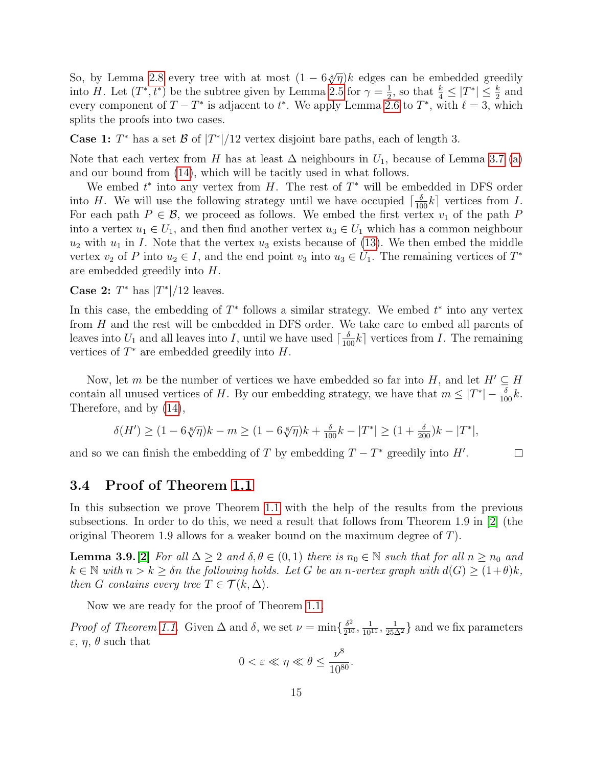So, by Lemma [2.8](#page-5-0) every tree with at most  $(1 - 6\sqrt[3]{\eta})k$  edges can be embedded greedily into H. Let  $(T^*, t^*)$  be the subtree given by Lemma [2.5](#page-4-0) for  $\gamma = \frac{1}{2}$  $\frac{1}{2}$ , so that  $\frac{k}{4} \leq |T^*| \leq \frac{k}{2}$  and every component of  $T - T^*$  is adjacent to  $t^*$ . We apply Lemma [2.6](#page-5-3) to  $T^*$ , with  $\ell = 3$ , which splits the proofs into two cases.

**Case 1:**  $T^*$  has a set  $\mathcal{B}$  of  $|T^*|/12$  vertex disjoint bare paths, each of length 3.

Note that each vertex from H has at least  $\Delta$  neighbours in  $U_1$ , because of Lemma [3.7](#page-12-5) [\(a\)](#page-12-2) and our bound from [\(14\)](#page-13-1), which will be tacitly used in what follows.

We embed  $t^*$  into any vertex from H. The rest of  $T^*$  will be embedded in DFS order into H. We will use the following strategy until we have occupied  $\lceil \frac{\delta}{100} k \rceil$  vertices from I. For each path  $P \in \mathcal{B}$ , we proceed as follows. We embed the first vertex  $v_1$  of the path P into a vertex  $u_1 \in U_1$ , and then find another vertex  $u_3 \in U_1$  which has a common neighbour  $u_2$  with  $u_1$  in I. Note that the vertex  $u_3$  exists because of [\(13\)](#page-13-2). We then embed the middle vertex  $v_2$  of P into  $u_2 \in I$ , and the end point  $v_3$  into  $u_3 \in U_1$ . The remaining vertices of  $T^*$ are embedded greedily into H.

Case 2:  $T^*$  has  $|T^*|/12$  leaves.

In this case, the embedding of  $T^*$  follows a similar strategy. We embed  $t^*$  into any vertex from H and the rest will be embedded in DFS order. We take care to embed all parents of leaves into  $U_1$  and all leaves into I, until we have used  $\lceil \frac{\delta}{100}k \rceil$  vertices from I. The remaining vertices of  $T^*$  are embedded greedily into  $H$ .

Now, let m be the number of vertices we have embedded so far into H, and let  $H' \subseteq H$ contain all unused vertices of H. By our embedding strategy, we have that  $m \leq |T^*| - \frac{\delta}{100}k$ . Therefore, and by [\(14\)](#page-13-1),

$$
\delta(H') \ge (1 - 6\sqrt[8]{\eta})k - m \ge (1 - 6\sqrt[8]{\eta})k + \frac{\delta}{100}k - |T^*| \ge (1 + \frac{\delta}{200})k - |T^*|,
$$

 $\Box$ 

and so we can finish the embedding of T by embedding  $T - T^*$  greedily into H'.

#### <span id="page-14-0"></span>3.4 Proof of Theorem [1.1](#page-1-0)

In this subsection we prove Theorem [1.1](#page-1-0) with the help of the results from the previous subsections. In order to do this, we need a result that follows from Theorem 1.9 in [\[2\]](#page-21-4) (the original Theorem 1.9 allows for a weaker bound on the maximum degree of T).

<span id="page-14-1"></span>**Lemma 3.9.**[\[2\]](#page-21-4) For all  $\Delta \geq 2$  and  $\delta, \theta \in (0,1)$  there is  $n_0 \in \mathbb{N}$  such that for all  $n \geq n_0$  and  $k \in \mathbb{N}$  with  $n > k \geq \delta n$  the following holds. Let G be an n-vertex graph with  $d(G) \geq (1+\theta)k$ , then G contains every tree  $T \in \mathcal{T}(k, \Delta)$ .

Now we are ready for the proof of Theorem [1.1.](#page-1-0)

*Proof of Theorem [1.1.](#page-1-0)* Given  $\Delta$  and  $\delta$ , we set  $\nu = \min\{\frac{\delta^2}{2!}$  $\frac{\delta^2}{2^{10}}, \frac{1}{10^{11}}, \frac{1}{25\Delta^2}$  and we fix parameters  $\varepsilon$ ,  $\eta$ ,  $\theta$  such that

$$
0 < \varepsilon \ll \eta \ll \theta \le \frac{\nu^8}{10^{80}}.
$$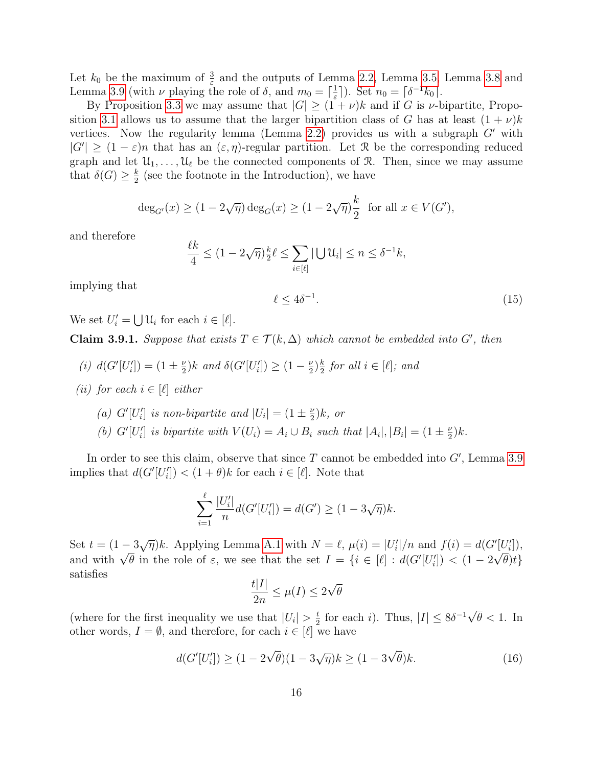Let  $k_0$  be the maximum of  $\frac{3}{\varepsilon}$  and the outputs of Lemma [2.2,](#page-3-0) Lemma [3.5,](#page-10-2) Lemma [3.8](#page-13-3) and Lemma [3.9](#page-14-1) (with  $\nu$  playing the role of  $\delta$ , and  $m_0 = \lceil \frac{1}{\epsilon} \rceil$  $\frac{1}{\varepsilon}$ ]). Set  $n_0 = \lceil \delta^{-1} k_0 \rceil$ .

By Proposition [3.3](#page-7-0) we may assume that  $|G| \ge (1 + \nu)k$  and if G is  $\nu$ -bipartite, Propo-sition [3.1](#page-6-1) allows us to assume that the larger bipartition class of G has at least  $(1 + \nu)k$ vertices. Now the regularity lemma (Lemma [2.2\)](#page-3-0) provides us with a subgraph  $G'$  with  $|G'| \geq (1-\varepsilon)n$  that has an  $(\varepsilon, \eta)$ -regular partition. Let R be the corresponding reduced graph and let  $\mathcal{U}_1, \ldots, \mathcal{U}_\ell$  be the connected components of R. Then, since we may assume that  $\delta(G) \geq \frac{k}{2}$  $\frac{k}{2}$  (see the footnote in the Introduction), we have

$$
\deg_{G'}(x) \ge (1 - 2\sqrt{\eta}) \deg_G(x) \ge (1 - 2\sqrt{\eta})\frac{k}{2} \text{ for all } x \in V(G'),
$$

and therefore

<span id="page-15-4"></span>
$$
\frac{\ell k}{4} \le (1 - 2\sqrt{\eta})\frac{k}{2}\ell \le \sum_{i \in [\ell]} |\bigcup \mathcal{U}_i| \le n \le \delta^{-1}k,
$$

implying that

$$
\leq 4\delta^{-1}.\tag{15}
$$

We set  $U'_i = \bigcup \mathcal{U}_i$  for each  $i \in [\ell]$ .

<span id="page-15-3"></span>**Claim 3.9.1.** Suppose that exists  $T \in \mathcal{T}(k, \Delta)$  which cannot be embedded into G', then

 $\ell$ 

- <span id="page-15-0"></span>(*i*)  $d(G'[U'_{i}]) = (1 \pm \frac{\nu}{2})$  $\frac{\nu}{2}$ )k and  $\delta(G'[U'_{i}]) \geq (1 - \frac{\nu}{2})$  $(\frac{\nu}{2})\frac{k}{2}$  $\frac{k}{2}$  for all  $i \in [\ell];$  and
- <span id="page-15-1"></span>(ii) for each  $i \in [\ell]$  either
	- (a)  $G'[U'_i]$  is non-bipartite and  $|U_i| = (1 \pm \frac{\nu}{2})$  $(\frac{\nu}{2})k$ , or
	- (b) G'[U'<sub>i</sub>] is bipartite with  $V(U_i) = A_i \cup B_i$  such that  $|A_i|, |B_i| = (1 \pm \frac{\nu}{2})$  $\frac{\nu}{2})k$ .

In order to see this claim, observe that since  $T$  cannot be embedded into  $G'$ , Lemma [3.9](#page-14-1) implies that  $d(G'[U'_{i}]) < (1 + \theta)k$  for each  $i \in [\ell]$ . Note that

$$
\sum_{i=1}^{\ell} \frac{|U_i'|}{n} d(G'[U_i']) = d(G') \ge (1 - 3\sqrt{\eta})k.
$$

Set  $t = (1 - 3\sqrt{\eta})k$ . Applying Lemma [A.1](#page-22-7) with  $N = \ell$ ,  $\mu(i) = |U'_i|/n$  and  $f(i) = d(G'[U'_i])$ , set  $i = (1 - \frac{3\sqrt{\eta}}{\kappa})$ . Applying Lemma A.1 with  $N = \ell$ ,  $\mu(i) = |U_i| / n$  and  $J(i) = u(G[U_i]),$ <br>and with  $\sqrt{\theta}$  in the role of  $\varepsilon$ , we see that the set  $I = \{i \in [\ell] : d(G'[U_i']) < (1 - 2\sqrt{\theta})t\}$ satisfies

<span id="page-15-2"></span>
$$
\frac{t|I|}{2n} \le \mu(I) \le 2\sqrt{\theta}
$$

(where for the first inequality we use that  $|U_i| > \frac{t}{2}$  $\frac{t}{2}$  for each *i*). Thus,  $|I| \leq 8\delta^{-1}\sqrt{ }$  $\theta < 1$ . In other words,  $I = \emptyset$ , and therefore, for each  $i \in [\ell]$  we have

$$
d(G'[U'_i]) \ge (1 - 2\sqrt{\theta})(1 - 3\sqrt{\eta})k \ge (1 - 3\sqrt{\theta})k.
$$
 (16)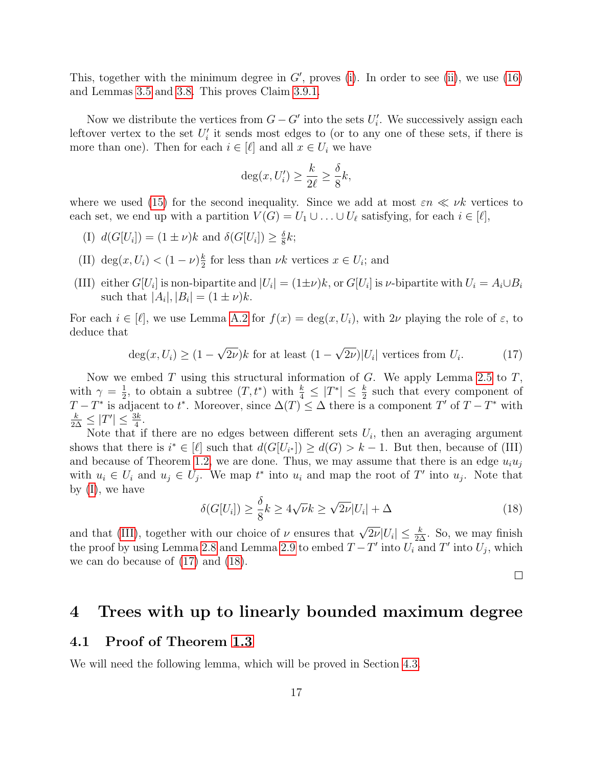This, together with the minimum degree in  $G'$ , proves [\(i\)](#page-15-0). In order to see [\(ii\)](#page-15-1), we use [\(16\)](#page-15-2) and Lemmas [3.5](#page-10-2) and [3.8.](#page-13-3) This proves Claim [3.9.1.](#page-15-3)

Now we distribute the vertices from  $G - G'$  into the sets  $U'_i$ . We successively assign each leftover vertex to the set  $U_i'$  it sends most edges to (or to any one of these sets, if there is more than one). Then for each  $i \in [\ell]$  and all  $x \in U_i$  we have

$$
\deg(x, U_i') \ge \frac{k}{2\ell} \ge \frac{\delta}{8}k,
$$

where we used [\(15\)](#page-15-4) for the second inequality. Since we add at most  $\varepsilon n \ll \nu k$  vertices to each set, we end up with a partition  $V(G) = U_1 \cup \ldots \cup U_\ell$  satisfying, for each  $i \in [\ell],$ 

- <span id="page-16-1"></span>(I)  $d(G[U_i]) = (1 \pm \nu)k$  and  $\delta(G[U_i]) \geq \frac{\delta}{8}$  $\frac{\delta}{8}k;$
- (II) deg $(x, U_i) < (1 \nu) \frac{k}{2}$  $\frac{k}{2}$  for less than  $\nu k$  vertices  $x \in U_i$ ; and
- <span id="page-16-2"></span>(III) either  $G[U_i]$  is non-bipartite and  $|U_i| = (1 \pm \nu)k$ , or  $G[U_i]$  is  $\nu$ -bipartite with  $U_i = A_i \cup B_i$ such that  $|A_i|, |B_i| = (1 \pm \nu)k$ .

For each  $i \in [\ell]$ , we use Lemma [A.2](#page-23-0) for  $f(x) = \deg(x, U_i)$ , with  $2\nu$  playing the role of  $\varepsilon$ , to deduce that

<span id="page-16-3"></span>
$$
\deg(x, U_i) \ge (1 - \sqrt{2\nu})k \text{ for at least } (1 - \sqrt{2\nu})|U_i| \text{ vertices from } U_i.
$$
 (17)

Now we embed  $T$  using this structural information of  $G$ . We apply Lemma [2.5](#page-4-0) to  $T$ , with  $\gamma = \frac{1}{2}$  $\frac{1}{2}$ , to obtain a subtree  $(T, t^*)$  with  $\frac{k}{4} \leq |T^*| \leq \frac{k}{2}$  such that every component of  $T - T^*$  is adjacent to  $t^*$ . Moreover, since  $\Delta(T) \leq \Delta$  there is a component  $T'$  of  $T - T^*$  with  $\frac{k}{2\Delta} \leq |T'| \leq \frac{3k}{4}.$ 

Note that if there are no edges between different sets  $U_i$ , then an averaging argument shows that there is  $i^* \in [\ell]$  such that  $d(G[U_{i^*}]) \geq d(G) > k - 1$ . But then, because of (III) and because of Theorem [1.2,](#page-1-1) we are done. Thus, we may assume that there is an edge  $u_i u_j$ with  $u_i \in U_i$  and  $u_j \in U_j$ . We map  $t^*$  into  $u_i$  and map the root of T' into  $u_j$ . Note that by [\(I\)](#page-16-1), we have

<span id="page-16-4"></span>
$$
\delta(G[U_i]) \ge \frac{\delta}{8}k \ge 4\sqrt{\nu}k \ge \sqrt{2\nu}|U_i| + \Delta \tag{18}
$$

and that [\(III\)](#page-16-2), together with our choice of  $\nu$  ensures that  $\sqrt{2\nu}|U_i| \leq \frac{k}{2\Delta}$ . So, we may finish the proof by using Lemma [2.8](#page-5-0) and Lemma [2.9](#page-5-2) to embed  $T - T'$  into  $U_i$  and T' into  $U_j$ , which we can do because of [\(17\)](#page-16-3) and [\(18\)](#page-16-4).

 $\Box$ 

### <span id="page-16-0"></span>4 Trees with up to linearly bounded maximum degree

#### 4.1 Proof of Theorem [1.3](#page-2-3)

<span id="page-16-5"></span>We will need the following lemma, which will be proved in Section [4.3.](#page-19-0)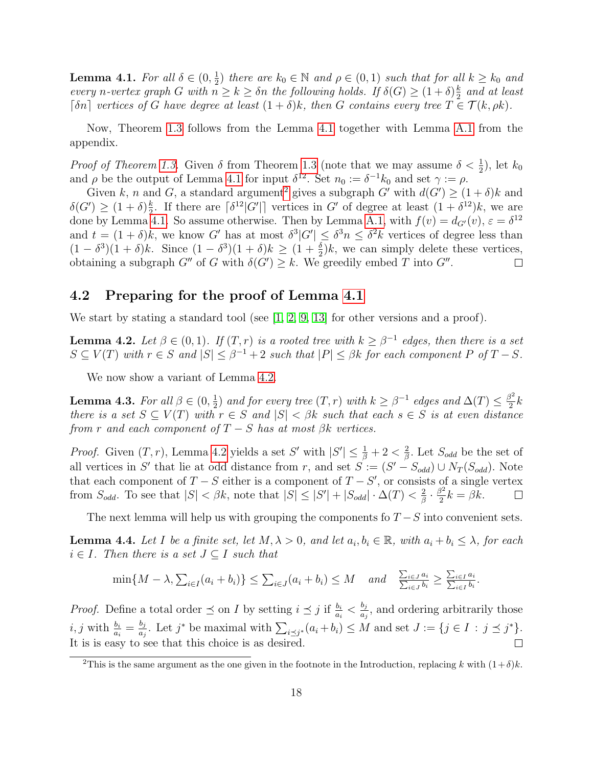**Lemma 4.1.** For all  $\delta \in (0, \frac{1}{2})$  $\frac{1}{2}$ ) there are  $k_0 \in \mathbb{N}$  and  $\rho \in (0,1)$  such that for all  $k \geq k_0$  and every n-vertex graph G with  $n \geq k \geq \delta n$  the following holds. If  $\delta(G) \geq (1+\delta)\frac{k}{2}$  $\frac{k}{2}$  and at least [ $\delta n$ ] vertices of G have degree at least  $(1 + \delta)k$ , then G contains every tree  $T \in \mathcal{T}(k, \rho k)$ .

Now, Theorem [1.3](#page-2-3) follows from the Lemma [4.1](#page-16-5) together with Lemma [A.1](#page-22-7) from the appendix.

*Proof of Theorem [1.3.](#page-2-3)* Given  $\delta$  from Theorem [1.3](#page-2-3) (note that we may assume  $\delta < \frac{1}{2}$ ), let  $k_0$ and  $\rho$  be the output of Lemma [4.1](#page-16-5) for input  $\delta^{12}$ . Set  $n_0 := \delta^{-1} k_0$  and set  $\gamma := \rho$ .

Given k, n and G, a standard argument<sup>[2](#page-17-0)</sup> gives a subgraph G' with  $d(G') \geq (1 + \delta)k$  and  $\delta(G') \geq (1+\delta)^{\frac{k}{2}}$  $\frac{k}{2}$ . If there are  $\lceil \delta^{12} |G' | \rceil$  vertices in G' of degree at least  $(1 + \delta^{12})k$ , we are done by Lemma [4.1.](#page-16-5) So assume otherwise. Then by Lemma [A.1,](#page-22-7) with  $f(v) = d_{G}(v)$ ,  $\varepsilon = \delta^{12}$ and  $t = (1 + \delta)k$ , we know G' has at most  $\delta^3|G'| \leq \delta^3 n \leq \delta^2 k$  vertices of degree less than  $(1 - \delta^3)(1 + \delta)k$ . Since  $(1 - \delta^3)(1 + \delta)k \ge (1 + \frac{\delta}{2})k$ , we can simply delete these vertices, obtaining a subgraph  $G''$  of G with  $\delta(G') \geq k$ . We greedily embed T into  $G''$ .  $\Box$ 

#### 4.2 Preparing for the proof of Lemma [4.1](#page-16-5)

<span id="page-17-1"></span>We start by stating a standard tool (see  $[1, 2, 9, 13]$  $[1, 2, 9, 13]$  $[1, 2, 9, 13]$  $[1, 2, 9, 13]$  for other versions and a proof).

**Lemma 4.2.** Let  $\beta \in (0,1)$ . If  $(T,r)$  is a rooted tree with  $k \geq \beta^{-1}$  edges, then there is a set  $S \subseteq V(T)$  with  $r \in S$  and  $|S| \leq \beta^{-1} + 2$  such that  $|P| \leq \beta k$  for each component P of  $T - S$ .

We now show a variant of Lemma [4.2.](#page-17-1)

<span id="page-17-2"></span>**Lemma 4.3.** For all  $\beta \in (0, \frac{1}{2})$  $\frac{1}{2}$ ) and for every tree  $(T,r)$  with  $k \geq \beta^{-1}$  edges and  $\Delta(T) \leq \frac{\beta^2}{2}$  $\frac{3}{2}k$ there is a set  $S \subseteq V(T)$  with  $r \in S$  and  $|S| < \beta k$  such that each  $s \in S$  is at even distance from r and each component of  $T-S$  has at most  $\beta k$  vertices.

*Proof.* Given  $(T, r)$ , Lemma [4.2](#page-17-1) yields a set S' with  $|S'| \leq \frac{1}{\beta} + 2 < \frac{2}{\beta}$  $\frac{2}{\beta}$ . Let  $S_{odd}$  be the set of all vertices in S' that lie at odd distance from r, and set  $S := (S' - S_{odd}) \cup N_T(S_{odd})$ . Note that each component of  $T-S$  either is a component of  $T-S'$ , or consists of a single vertex  $\frac{2}{\beta}\cdot\frac{\beta^2}{2}$ from  $S_{odd}$ . To see that  $|S| < \beta k$ , note that  $|S| \leq |S'| + |S_{odd}| \cdot \Delta(T) < \frac{2}{\beta k}$  $\frac{\partial^2}{\partial^2}k = \beta k.$  $\Box$ 

The next lemma will help us with grouping the components fo  $T-S$  into convenient sets.

<span id="page-17-3"></span>**Lemma 4.4.** Let I be a finite set, let  $M, \lambda > 0$ , and let  $a_i, b_i \in \mathbb{R}$ , with  $a_i + b_i \leq \lambda$ , for each  $i \in I$ . Then there is a set  $J \subseteq I$  such that

$$
\min\{M-\lambda,\sum_{i\in I}(a_i+b_i)\}\leq \sum_{i\in J}(a_i+b_i)\leq M \quad and \quad \frac{\sum_{i\in J}a_i}{\sum_{i\in J}b_i}\geq \frac{\sum_{i\in I}a_i}{\sum_{i\in I}b_i}.
$$

*Proof.* Define a total order  $\leq$  on I by setting  $i \leq j$  if  $\frac{b_i}{a_i} < \frac{b_j}{a_j}$  $\frac{a_j}{a_j}$ , and ordering arbitrarily those  $i, j$  with  $\frac{b_i}{a_i} = \frac{b_j}{a_j}$  $\frac{b_j}{a_j}$ . Let  $j^*$  be maximal with  $\sum_{i \leq j^*} (a_i + b_i) \leq M$  and set  $J := \{j \in I : j \preceq j^*\}.$ It is is easy to see that this choice is as desired.  $\Box$ 

<span id="page-17-0"></span><sup>&</sup>lt;sup>2</sup>This is the same argument as the one given in the footnote in the Introduction, replacing k with  $(1+\delta)k$ .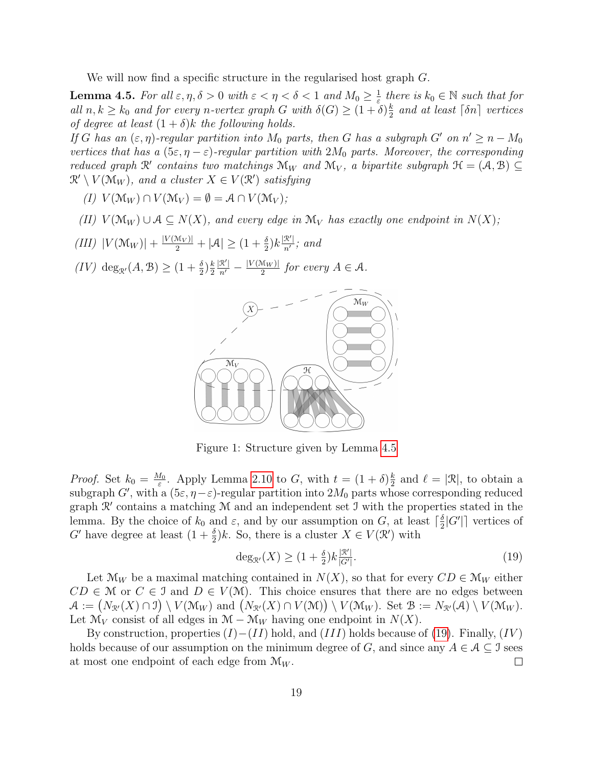We will now find a specific structure in the regularised host graph G.

<span id="page-18-0"></span>**Lemma 4.5.** For all  $\varepsilon, \eta, \delta > 0$  with  $\varepsilon < \eta < \delta < 1$  and  $M_0 \geq \frac{1}{\varepsilon}$  $\frac{1}{\varepsilon}$  there is  $k_0 \in \mathbb{N}$  such that for all  $n, k \geq k_0$  and for every n-vertex graph G with  $\delta(G) \geq (1 + \delta) \frac{k}{2}$  $\frac{k}{2}$  and at least  $\lceil \delta n \rceil$  vertices of degree at least  $(1 + \delta)k$  the following holds.

If G has an  $(\varepsilon, \eta)$ -regular partition into  $M_0$  parts, then G has a subgraph G' on  $n' \geq n - M_0$ vertices that has a  $(5\varepsilon, \eta - \varepsilon)$ -regular partition with  $2M_0$  parts. Moreover, the corresponding reduced graph  $\mathcal{R}'$  contains two matchings  $\mathcal{M}_W$  and  $\mathcal{M}_V$ , a bipartite subgraph  $\mathcal{H} = (\mathcal{A}, \mathcal{B}) \subseteq$  $\mathcal{R}' \setminus V(\mathcal{M}_W)$ , and a cluster  $X \in V(\mathcal{R}')$  satisfying

- (I)  $V(\mathcal{M}_W) \cap V(\mathcal{M}_V) = \emptyset = \mathcal{A} \cap V(\mathcal{M}_V);$
- (II)  $V(\mathcal{M}_W) \cup \mathcal{A} \subseteq N(X)$ , and every edge in  $\mathcal{M}_V$  has exactly one endpoint in  $N(X)$ ;
- <span id="page-18-2"></span>(III)  $|V(\mathcal{M}_W)| + \frac{|V(\mathcal{M}_V)|}{2} + |\mathcal{A}| \ge (1 + \frac{\delta}{2})k \frac{|\mathcal{R}'|}{n'}$  $\frac{\alpha}{n'}$ ; and
- <span id="page-18-3"></span> $(IV) \deg_{\mathcal{R}'}(A, \mathcal{B}) \ge (1 + \frac{\delta}{2})\frac{k}{2}$ 2  $\frac{|{\mathcal{R}}'|}{n'} - \frac{|V(\mathfrak{M}_W)|}{2}$  $\frac{d(w)}{2}$  for every  $A \in \mathcal{A}$ .



Figure 1: Structure given by Lemma [4.5](#page-18-0)

*Proof.* Set  $k_0 = \frac{M_0}{\varepsilon}$  $\frac{d_0}{\varepsilon}$ . Apply Lemma [2.10](#page-6-3) to G, with  $t = (1 + \delta)\frac{k}{2}$  $\frac{k}{2}$  and  $\ell = |\mathcal{R}|$ , to obtain a subgraph G', with a  $(5\varepsilon, \eta - \varepsilon)$ -regular partition into  $2M_0$  parts whose corresponding reduced graph  $\mathcal{R}'$  contains a matching  $\mathcal M$  and an independent set J with the properties stated in the lemma. By the choice of  $k_0$  and  $\varepsilon$ , and by our assumption on G, at least  $\lceil \frac{\delta}{2} \rceil$  $\frac{\delta}{2}|G'|$  vertices of G' have degree at least  $(1 + \frac{\delta}{2})k$ . So, there is a cluster  $X \in V(\mathcal{R}')$  with

<span id="page-18-1"></span>
$$
\deg_{\mathcal{R}'}(X) \ge (1 + \frac{\delta}{2})k \frac{|\mathcal{R}'|}{|G'|}. \tag{19}
$$

Let  $\mathcal{M}_W$  be a maximal matching contained in  $N(X)$ , so that for every  $CD \in \mathcal{M}_W$  either  $CD \in \mathcal{M}$  or  $C \in \mathcal{I}$  and  $D \in V(\mathcal{M})$ . This choice ensures that there are no edges between  $\mathcal{A} := (N_{\mathcal{R}'}(X) \cap \mathcal{I}) \setminus V(\mathcal{M}_W) \text{ and } (N_{\mathcal{R}'}(X) \cap V(\mathcal{M})) \setminus V(\mathcal{M}_W)$ . Set  $\mathcal{B} := N_{\mathcal{R}'}(\mathcal{A}) \setminus V(\mathcal{M}_W)$ . Let  $\mathcal{M}_V$  consist of all edges in  $\mathcal{M} - \mathcal{M}_W$  having one endpoint in  $N(X)$ .

By construction, properties  $(I)-(II)$  hold, and  $(III)$  holds because of [\(19\)](#page-18-1). Finally,  $(IV)$ holds because of our assumption on the minimum degree of G, and since any  $A \in \mathcal{A} \subseteq \mathcal{I}$  sees at most one endpoint of each edge from  $\mathcal{M}_W$ .  $\Box$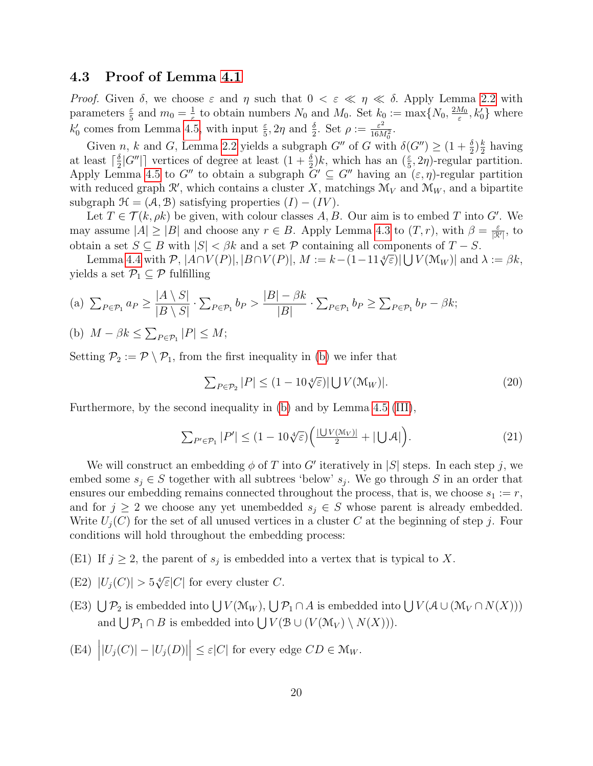### <span id="page-19-0"></span>4.3 Proof of Lemma [4.1](#page-16-5)

*Proof.* Given  $\delta$ , we choose  $\varepsilon$  and  $\eta$  such that  $0 < \varepsilon \ll \eta \ll \delta$ . Apply Lemma [2.2](#page-3-0) with parameters  $\frac{\varepsilon}{5}$  and  $m_0 = \frac{1}{\varepsilon}$ <sup>1</sup>/<sub> $\varepsilon$ </sub> to obtain numbers  $N_0$  and  $M_0$ . Set  $k_0 := \max\{N_0, \frac{2M_0}{\varepsilon}\}$  $\frac{M_0}{\varepsilon}$ ,  $k_0'$  where  $k'_0$  comes from Lemma [4.5,](#page-18-0) with input  $\frac{\varepsilon}{5}$ ,  $2\eta$  and  $\frac{\delta}{2}$ . Set  $\rho := \frac{\varepsilon^2}{16\lambda}$  $\frac{\varepsilon^2}{16M_0^2}$ .

Given n, k and G, Lemma [2.2](#page-3-0) yields a subgraph  $G''$  of G with  $\delta(G'') \geq (1 + \frac{\delta}{2})\frac{k}{2}$  $\frac{k}{2}$  having at least  $\lceil \frac{\delta}{2} \rceil$  $\frac{\delta}{2}|G''|$  vertices of degree at least  $(1+\frac{\delta}{2})k$ , which has an  $(\frac{\varepsilon}{5}, 2\eta)$ -regular partition. Apply Lemma [4.5](#page-18-0) to G'' to obtain a subgraph  $G' \subseteq G''$  having an  $(\varepsilon, \eta)$ -regular partition with reduced graph  $\mathcal{R}'$ , which contains a cluster X, matchings  $\mathcal{M}_V$  and  $\mathcal{M}_W$ , and a bipartite subgraph  $\mathcal{H} = (\mathcal{A}, \mathcal{B})$  satisfying properties  $(I) - (IV)$ .

Let  $T \in \mathcal{T}(k, \rho k)$  be given, with colour classes A, B. Our aim is to embed T into G'. We may assume  $|A| \geq |B|$  and choose any  $r \in B$ . Apply Lemma [4.3](#page-17-2) to  $(T, r)$ , with  $\beta = \frac{\varepsilon}{R}$  $\frac{\varepsilon}{|\mathcal{R}'|}$ , to obtain a set  $S \subseteq B$  with  $|S| < \beta k$  and a set P containing all components of  $T - S$ .

 $\text{Lemma 4.4 with } \mathcal{P}, |\mathcal{A} \cap V(\mathcal{P})|, |\mathcal{B} \cap V(\mathcal{P})|, M := k - (1 - 11 \sqrt[k]{\varepsilon}) |\bigcup V(\mathcal{M}_W)| \text{ and } \lambda := \beta k,$  $\text{Lemma 4.4 with } \mathcal{P}, |\mathcal{A} \cap V(\mathcal{P})|, |\mathcal{B} \cap V(\mathcal{P})|, M := k - (1 - 11 \sqrt[k]{\varepsilon}) |\bigcup V(\mathcal{M}_W)| \text{ and } \lambda := \beta k,$  $\text{Lemma 4.4 with } \mathcal{P}, |\mathcal{A} \cap V(\mathcal{P})|, |\mathcal{B} \cap V(\mathcal{P})|, M := k - (1 - 11 \sqrt[k]{\varepsilon}) |\bigcup V(\mathcal{M}_W)| \text{ and } \lambda := \beta k,$ yields a set  $\mathcal{P}_1 \subseteq \mathcal{P}$  fulfilling

<span id="page-19-3"></span>(a) 
$$
\sum_{P \in \mathcal{P}_1} a_P \ge \frac{|A \setminus S|}{|B \setminus S|} \cdot \sum_{P \in \mathcal{P}_1} b_P > \frac{|B| - \beta k}{|B|} \cdot \sum_{P \in \mathcal{P}_1} b_P \ge \sum_{P \in \mathcal{P}_1} b_P - \beta k;
$$

<span id="page-19-1"></span>(b)  $M - \beta k \le \sum_{P \in \mathcal{P}_1} |P| \le M;$ 

Setting  $P_2 := \mathcal{P} \setminus P_1$ , from the first inequality in [\(b\)](#page-19-1) we infer that

<span id="page-19-4"></span><span id="page-19-2"></span>
$$
\sum_{P \in \mathcal{P}_2} |P| \le (1 - 10\sqrt[4]{\varepsilon}) |\bigcup V(\mathcal{M}_W)|. \tag{20}
$$

Furthermore, by the second inequality in [\(b\)](#page-19-1) and by Lemma [4.5](#page-18-0) [\(III\)](#page-18-2),

$$
\sum_{P' \in \mathcal{P}_1} |P'| \le (1 - 10\sqrt[4]{\varepsilon}) \left( \frac{|\bigcup V(\mathcal{M}_V)|}{2} + |\bigcup \mathcal{A}| \right). \tag{21}
$$

We will construct an embedding  $\phi$  of T into G' iteratively in |S| steps. In each step j, we embed some  $s_j \in S$  together with all subtrees 'below'  $s_j$ . We go through S in an order that ensures our embedding remains connected throughout the process, that is, we choose  $s_1 := r$ , and for  $j \geq 2$  we choose any yet unembedded  $s_j \in S$  whose parent is already embedded. Write  $U_i(C)$  for the set of all unused vertices in a cluster C at the beginning of step j. Four conditions will hold throughout the embedding process:

- (E1) If  $j \geq 2$ , the parent of  $s_j$  is embedded into a vertex that is typical to X.
- (E2)  $|U_j(C)| > 5\sqrt[4]{\varepsilon}|C|$  for every cluster C.
- (E3)  $\bigcup \mathcal{P}_2$  is embedded into  $\bigcup V(\mathcal{M}_W)$ ,  $\bigcup \mathcal{P}_1 \cap A$  is embedded into  $\bigcup V(\mathcal{A} \cup (\mathcal{M}_V \cap N(X)))$ and  $\bigcup \mathcal{P}_1 \cap B$  is embedded into  $\bigcup V(\mathcal{B} \cup (V(\mathcal{M}_V) \setminus N(X))).$
- (E4)  $||U_j(C)| |U_j(D)| \leq \varepsilon |C|$  for every edge  $CD \in M_W$ .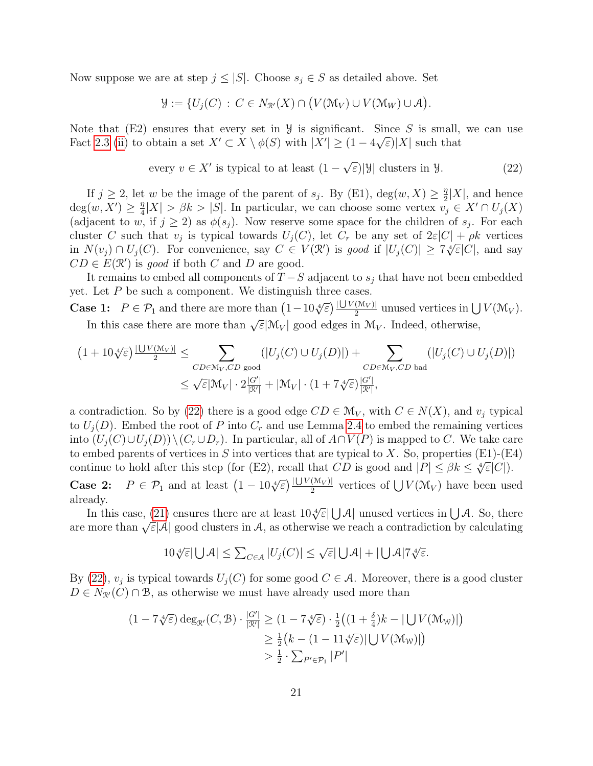Now suppose we are at step  $j \leq |S|$ . Choose  $s_j \in S$  as detailed above. Set

<span id="page-20-0"></span>
$$
\mathcal{Y} := \{ U_j(C) : C \in N_{\mathcal{R}'}(X) \cap (V(\mathcal{M}_V) \cup V(\mathcal{M}_W) \cup \mathcal{A}) \}.
$$

Note that  $(E2)$  ensures that every set in  $\mathcal{Y}$  is significant. Since S is small, we can use Fact [2.3](#page-4-1) [\(ii\)](#page-4-3) to obtain a set  $X' \subset X \setminus \phi(S)$  with  $|X'| \geq (1 - 4\sqrt{\varepsilon})|X|$  such that

every 
$$
v \in X'
$$
 is typical to at least  $(1 - \sqrt{\varepsilon}) |\mathcal{Y}|$  clusters in  $\mathcal{Y}$ . (22)

If  $j \geq 2$ , let w be the image of the parent of  $s_j$ . By (E1),  $deg(w, X) \geq \frac{\eta}{2}$  $\frac{\eta}{2}|X|$ , and hence  $deg(w, X') \geq \frac{\eta}{4}$  $\frac{n}{4}|X| > \beta k > |S|$ . In particular, we can choose some vertex  $v_j \in X' \cap U_j(X)$ (adjacent to w, if  $j \geq 2$ ) as  $\phi(s_j)$ . Now reserve some space for the children of  $s_j$ . For each cluster C such that  $v_j$  is typical towards  $U_j(C)$ , let  $C_r$  be any set of  $2\varepsilon|C| + \rho k$  vertices cluster C such that  $v_j$  is typical towards  $U_j(C)$ , let  $C_r$  be any set of  $2\varepsilon |C| + \rho \kappa$  vertices<br>in  $N(v_j) \cap U_j(C)$ . For convenience, say  $C \in V(\mathcal{R}')$  is good if  $|U_j(C)| \geq 7\sqrt[4]{\varepsilon}|C|$ , and say  $CD \in E(\mathcal{R}')$  is good if both C and D are good.

It remains to embed all components of  $T-S$  adjacent to  $s_i$  that have not been embedded yet. Let  $P$  be such a component. We distinguish three cases.

Case 1:  $P \in \mathcal{P}_1$  and there are more than  $\left(1 - 10\sqrt[4]{\varepsilon}\right) \frac{|\bigcup V(\mathcal{M}_V)|}{2}$  $\frac{(M_V)}{2}$  unused vertices in  $\bigcup V(\mathcal{M}_V)$ . In this case there are more than  $\sqrt{\varepsilon}|\mathcal{M}_V|$  good edges in  $\mathcal{M}_V$ . Indeed, otherwise,

$$
(1+10\sqrt[4]{\varepsilon})\frac{|\bigcup V(\mathcal{M}_V)|}{2} \leq \sum_{CD \in \mathcal{M}_V, CD \text{ good}} (|U_j(C) \cup U_j(D)|) + \sum_{CD \in \mathcal{M}_V, CD \text{ bad}} (|U_j(C) \cup U_j(D)|)
$$
  

$$
\leq \sqrt{\varepsilon}|\mathcal{M}_V| \cdot 2\frac{|G'|}{|\mathcal{R}|} + |\mathcal{M}_V| \cdot (1+7\sqrt[4]{\varepsilon})\frac{|G'|}{|\mathcal{R}|},
$$

a contradiction. So by [\(22\)](#page-20-0) there is a good edge  $CD \in \mathcal{M}_V$ , with  $C \in N(X)$ , and  $v_j$  typical to  $U_i(D)$ . Embed the root of P into  $C_r$  and use Lemma [2.4](#page-4-4) to embed the remaining vertices into  $(U_i(C) \cup U_i(D)) \setminus (C_r \cup D_r)$ . In particular, all of  $A \cap V(P)$  is mapped to C. We take care to embed parents of vertices in S into vertices that are typical to X. So, properties  $(E1)$ - $(E4)$ continue to hold after this step (for (E2), recall that  $CD$  is good and  $|P| \leq \beta k \leq \sqrt[k]{\epsilon}|C|$ .

**Case 2:**  $P \in \mathcal{P}_1$  and at least  $\left(1 - 10\sqrt[4]{\epsilon}\right) \frac{|\bigcup V(\mathcal{M}_V)|}{2}$  $\frac{(M_V)}{2}$  vertices of  $\bigcup V(\mathcal{M}_V)$  have been used already.

 $\alpha$  In this case, [\(21\)](#page-19-2) ensures there are at least  $10\sqrt[4]{\varepsilon}|\bigcup_{\mathcal{A}}|$  unused vertices in  $\bigcup_{\mathcal{A}}$ . So, there are more than  $\sqrt{\varepsilon}|\mathcal{A}|$  good clusters in  $\mathcal{A}$ , as otherwise we reach a contradiction by calculating

$$
10\sqrt[4]{\varepsilon}|\bigcup \mathcal{A}| \le \sum_{C \in \mathcal{A}} |U_j(C)| \le \sqrt{\varepsilon}|\bigcup \mathcal{A}| + |\bigcup \mathcal{A}|7\sqrt[4]{\varepsilon}.
$$

By [\(22\)](#page-20-0),  $v_j$  is typical towards  $U_j(C)$  for some good  $C \in \mathcal{A}$ . Moreover, there is a good cluster  $D \in N_{\mathcal{R}}(C) \cap \mathcal{B}$ , as otherwise we must have already used more than

$$
(1 - 7\sqrt[4]{\varepsilon}) \deg_{\mathcal{R}'}(C, \mathcal{B}) \cdot \frac{|G'|}{|\mathcal{R}'|} \ge (1 - 7\sqrt[4]{\varepsilon}) \cdot \frac{1}{2} \big( (1 + \frac{\delta}{4})k - |\bigcup V(\mathcal{M}_W)| \big)
$$
  

$$
\ge \frac{1}{2} \big( k - (1 - 11\sqrt[4]{\varepsilon}) |\bigcup V(\mathcal{M}_W)| \big)
$$
  

$$
> \frac{1}{2} \cdot \sum_{P' \in \mathcal{P}_1} |P'|
$$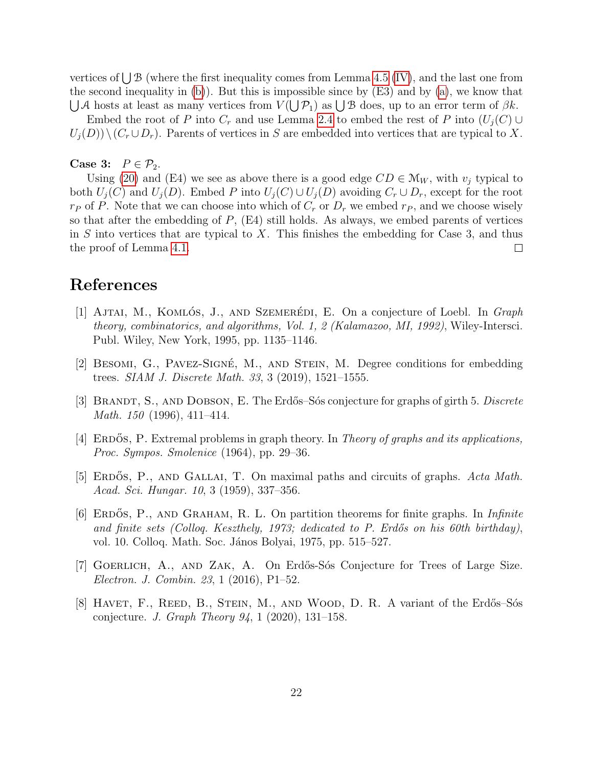vertices of  $\bigcup \mathcal{B}$  (where the first inequality comes from Lemma [4.5](#page-18-0) [\(IV\)](#page-18-3), and the last one from the second inequality in [\(b\)](#page-19-1)). But this is impossible since by (E3) and by [\(a\)](#page-19-3), we know that  $\bigcup A$  hosts at least as many vertices from  $V(\bigcup P_1)$  as  $\bigcup B$  does, up to an error term of  $\beta k$ .

Embed the root of P into  $C_r$  and use Lemma [2.4](#page-4-4) to embed the rest of P into  $(U_i(C) \cup$  $U_i(D)\setminus (C_r \cup D_r)$ . Parents of vertices in S are embedded into vertices that are typical to X.

#### Case 3:  $P \in \mathcal{P}_2$ .

Using [\(20\)](#page-19-4) and (E4) we see as above there is a good edge  $CD \in M_W$ , with  $v_j$  typical to both  $U_i(C)$  and  $U_i(D)$ . Embed P into  $U_i(C) \cup U_i(D)$  avoiding  $C_r \cup D_r$ , except for the root  $r_P$  of P. Note that we can choose into which of  $C_r$  or  $D_r$  we embed  $r_P$ , and we choose wisely so that after the embedding of  $P$ ,  $(E4)$  still holds. As always, we embed parents of vertices in  $S$  into vertices that are typical to  $X$ . This finishes the embedding for Case 3, and thus the proof of Lemma [4.1.](#page-16-5)  $\Box$ 

## References

- <span id="page-21-6"></span>[1] AJTAI, M., KOMLÓS, J., AND SZEMERÉDI, E. On a conjecture of Loebl. In  $Graph$ theory, combinatorics, and algorithms, Vol. 1, 2 (Kalamazoo, MI, 1992), Wiley-Intersci. Publ. Wiley, New York, 1995, pp. 1135–1146.
- <span id="page-21-4"></span>[2] BESOMI, G., PAVEZ-SIGNÉ, M., AND STEIN, M. Degree conditions for embedding trees. SIAM J. Discrete Math. 33, 3 (2019), 1521–1555.
- <span id="page-21-2"></span>[3] BRANDT, S., AND DOBSON, E. The Erdős–Sós conjecture for graphs of girth 5. Discrete Math. 150 (1996), 411–414.
- <span id="page-21-0"></span>[4] ERDOS, P. Extremal problems in graph theory. In *Theory of graphs and its applications*, Proc. Sympos. Smolenice (1964), pp. 29–36.
- <span id="page-21-1"></span>[5] ERDOS, P., AND GALLAI, T. On maximal paths and circuits of graphs. Acta Math. Acad. Sci. Hungar. 10, 3 (1959), 337–356.
- <span id="page-21-5"></span>[6] ERDOS, P., AND GRAHAM, R. L. On partition theorems for finite graphs. In *Infinite* and finite sets (Colloq. Keszthely, 1973; dedicated to P. Erdős on his 60th birthday), vol. 10. Colloq. Math. Soc. János Bolyai, 1975, pp. 515–527.
- <span id="page-21-3"></span>[7] Goerlich, A., and Zak, A. On Erd˝os-S´os Conjecture for Trees of Large Size. Electron. J. Combin. 23, 1 (2016), P1–52.
- <span id="page-21-7"></span>[8] HAVET, F., REED, B., STEIN, M., AND WOOD, D. R. A variant of the Erdős–Sós conjecture. *J. Graph Theory 94*, 1 (2020), 131–158.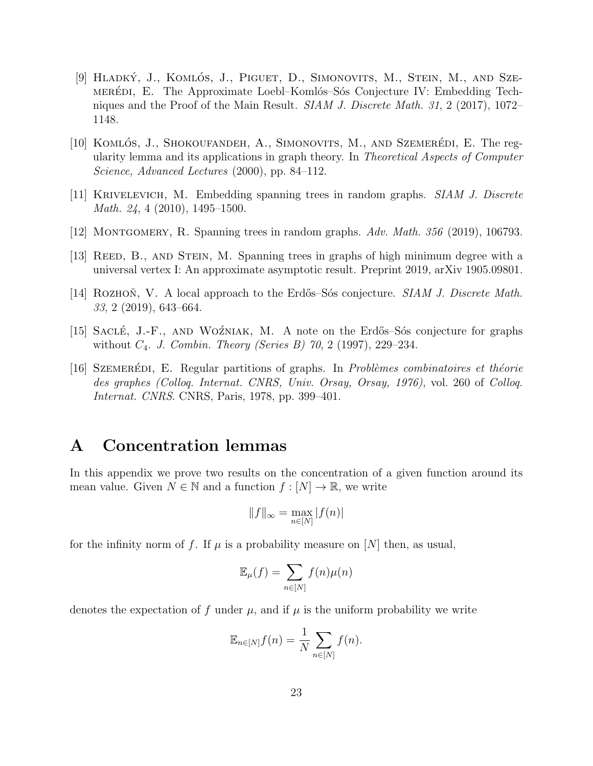- <span id="page-22-8"></span>[9] HLADKÝ, J., KOMLÓS, J., PIGUET, D., SIMONOVITS, M., STEIN, M., AND SZEmerediation. E. The Approximate Loebl–Komlós–Sós Conjecture IV: Embedding Techniques and the Proof of the Main Result. *SIAM J. Discrete Math.* 31, 2 (2017), 1072– 1148.
- <span id="page-22-2"></span>[10] KOMLÓS, J., SHOKOUFANDEH, A., SIMONOVITS, M., AND SZEMERÉDI, E. The regularity lemma and its applications in graph theory. In Theoretical Aspects of Computer Science, Advanced Lectures (2000), pp. 84–112.
- <span id="page-22-5"></span>[11] Krivelevich, M. Embedding spanning trees in random graphs. SIAM J. Discrete Math. 24, 4 (2010), 1495–1500.
- <span id="page-22-6"></span>[12] MONTGOMERY, R. Spanning trees in random graphs.  $Adv. Math. 356$  (2019), 106793.
- <span id="page-22-4"></span>[13] REED, B., AND STEIN, M. Spanning trees in graphs of high minimum degree with a universal vertex I: An approximate asymptotic result. Preprint 2019, arXiv 1905.09801.
- <span id="page-22-1"></span>[14] ROZHON, V. A local approach to the Erdős–Sós conjecture.  $SIAM J. Discrete Math.$ 33, 2 (2019), 643–664.
- <span id="page-22-0"></span>[15] SACLÉ, J.-F., AND WOZNIAK, M. A note on the Erdős–Sós conjecture for graphs without  $C_4$ . J. Combin. Theory (Series B) 70, 2 (1997), 229–234.
- <span id="page-22-3"></span>[16] SZEMERÉDI, E. Regular partitions of graphs. In *Problèmes combinatoires et théorie* des graphes (Colloq. Internat. CNRS, Univ. Orsay, Orsay, 1976), vol. 260 of Colloq. Internat. CNRS. CNRS, Paris, 1978, pp. 399–401.

# A Concentration lemmas

In this appendix we prove two results on the concentration of a given function around its mean value. Given  $N \in \mathbb{N}$  and a function  $f : [N] \to \mathbb{R}$ , we write

$$
\|f\|_\infty = \max_{n\in[N]} |f(n)|
$$

for the infinity norm of f. If  $\mu$  is a probability measure on [N] then, as usual,

$$
\mathbb{E}_{\mu}(f) = \sum_{n \in [N]} f(n)\mu(n)
$$

<span id="page-22-7"></span>denotes the expectation of f under  $\mu$ , and if  $\mu$  is the uniform probability we write

$$
\mathbb{E}_{n\in[N]}f(n) = \frac{1}{N} \sum_{n\in[N]} f(n).
$$